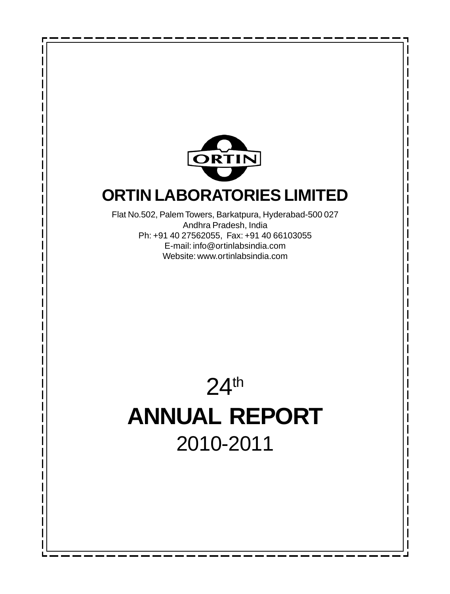

## **ORTIN LABORATORIES LIMITED**

Flat No.502, Palem Towers, Barkatpura, Hyderabad-500 027 Andhra Pradesh, India Ph: +91 40 27562055, Fax: +91 40 66103055 E-mail: info@ortinlabsindia.com Website: www.ortinlabsindia.com

# 24th **ANNUAL REPORT** 2010-2011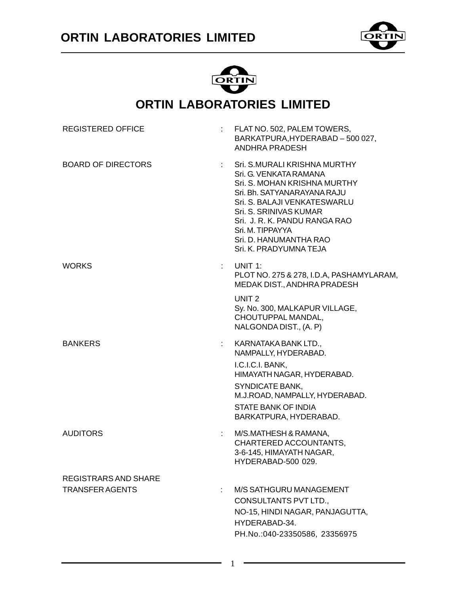



### **ORTIN LABORATORIES LIMITED**

| <b>REGISTERED OFFICE</b>                       |    | FLAT NO. 502, PALEM TOWERS,<br>BARKATPURA, HYDERABAD - 500 027,<br>ANDHRA PRADESH                                                                                                                                                                                                        |
|------------------------------------------------|----|------------------------------------------------------------------------------------------------------------------------------------------------------------------------------------------------------------------------------------------------------------------------------------------|
| <b>BOARD OF DIRECTORS</b>                      |    | Sri. S.MURALI KRISHNA MURTHY<br>Sri. G. VENKATA RAMANA<br>Sri. S. MOHAN KRISHNA MURTHY<br>Sri, Bh. SATYANARAYANA RAJU<br>Sri, S. BALAJI VENKATESWARLU<br>Sri. S. SRINIVAS KUMAR<br>Sri. J. R. K. PANDU RANGA RAO<br>Sri. M. TIPPAYYA<br>Sri. D. HANUMANTHA RAO<br>Sri. K. PRADYUMNA TEJA |
| WORKS                                          |    | UNIT 1:<br>PLOT NO. 275 & 278, I.D.A, PASHAMYLARAM,<br>MEDAK DIST., ANDHRA PRADESH                                                                                                                                                                                                       |
|                                                |    | UNIT <sub>2</sub><br>Sy. No. 300, MALKAPUR VILLAGE,<br>CHOUTUPPAL MANDAL,<br>NALGONDA DIST., (A. P)                                                                                                                                                                                      |
| <b>BANKERS</b>                                 |    | KARNATAKA BANK LTD.,<br>NAMPALLY, HYDERABAD.<br>I.C.I.C.I. BANK,<br>HIMAYATH NAGAR, HYDERABAD.<br>SYNDICATE BANK,<br>M.J.ROAD, NAMPALLY, HYDERABAD.<br>STATE BANK OF INDIA<br>BARKATPURA, HYDERABAD.                                                                                     |
| <b>AUDITORS</b>                                | ÷. | M/S.MATHESH & RAMANA,<br>CHARTERED ACCOUNTANTS,<br>3-6-145, HIMAYATH NAGAR,<br>HYDERABAD-500 029.                                                                                                                                                                                        |
| REGISTRARS AND SHARE<br><b>TRANSFER AGENTS</b> | ÷  | M/S SATHGURU MANAGEMENT<br>CONSULTANTS PVT LTD.,<br>NO-15, HINDI NAGAR, PANJAGUTTA,<br>HYDERABAD-34.<br>PH.No.:040-23350586, 23356975                                                                                                                                                    |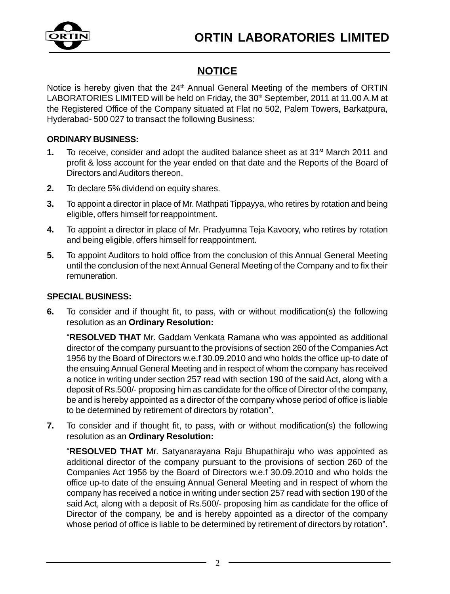

### **NOTICE**

Notice is hereby given that the 24<sup>th</sup> Annual General Meeting of the members of ORTIN LABORATORIES LIMITED will be held on Friday, the 30<sup>th</sup> September, 2011 at 11.00 A.M at the Registered Office of the Company situated at Flat no 502, Palem Towers, Barkatpura, Hyderabad- 500 027 to transact the following Business:

#### **ORDINARY BUSINESS:**

- **1.** To receive, consider and adopt the audited balance sheet as at 31<sup>st</sup> March 2011 and profit & loss account for the year ended on that date and the Reports of the Board of Directors and Auditors thereon.
- **2.** To declare 5% dividend on equity shares.
- **3.** To appoint a director in place of Mr. Mathpati Tippayya, who retires by rotation and being eligible, offers himself for reappointment.
- **4.** To appoint a director in place of Mr. Pradyumna Teja Kavoory, who retires by rotation and being eligible, offers himself for reappointment.
- **5.** To appoint Auditors to hold office from the conclusion of this Annual General Meeting until the conclusion of the next Annual General Meeting of the Company and to fix their remuneration.

#### **SPECIAL BUSINESS:**

**6.** To consider and if thought fit, to pass, with or without modification(s) the following resolution as an **Ordinary Resolution:**

"**RESOLVED THAT** Mr. Gaddam Venkata Ramana who was appointed as additional director of the company pursuant to the provisions of section 260 of the Companies Act 1956 by the Board of Directors w.e.f 30.09.2010 and who holds the office up-to date of the ensuing Annual General Meeting and in respect of whom the company has received a notice in writing under section 257 read with section 190 of the said Act, along with a deposit of Rs.500/- proposing him as candidate for the office of Director of the company, be and is hereby appointed as a director of the company whose period of office is liable to be determined by retirement of directors by rotation".

**7.** To consider and if thought fit, to pass, with or without modification(s) the following resolution as an **Ordinary Resolution:**

"**RESOLVED THAT** Mr. Satyanarayana Raju Bhupathiraju who was appointed as additional director of the company pursuant to the provisions of section 260 of the Companies Act 1956 by the Board of Directors w.e.f 30.09.2010 and who holds the office up-to date of the ensuing Annual General Meeting and in respect of whom the company has received a notice in writing under section 257 read with section 190 of the said Act, along with a deposit of Rs.500/- proposing him as candidate for the office of Director of the company, be and is hereby appointed as a director of the company whose period of office is liable to be determined by retirement of directors by rotation".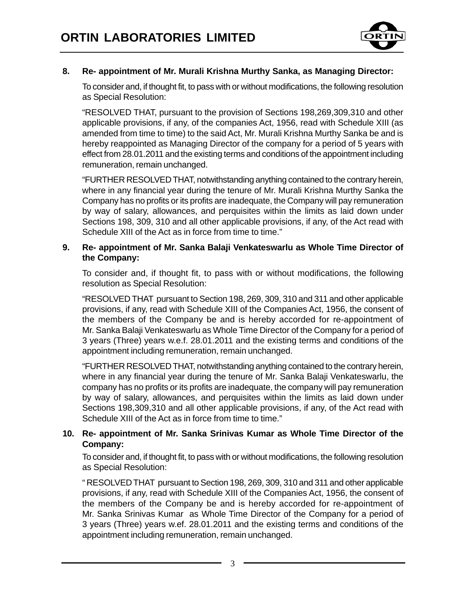

#### **8. Re- appointment of Mr. Murali Krishna Murthy Sanka, as Managing Director:**

To consider and, if thought fit, to pass with or without modifications, the following resolution as Special Resolution:

"RESOLVED THAT, pursuant to the provision of Sections 198,269,309,310 and other applicable provisions, if any, of the companies Act, 1956, read with Schedule XIII (as amended from time to time) to the said Act, Mr. Murali Krishna Murthy Sanka be and is hereby reappointed as Managing Director of the company for a period of 5 years with effect from 28.01.2011 and the existing terms and conditions of the appointment including remuneration, remain unchanged.

"FURTHER RESOLVED THAT, notwithstanding anything contained to the contrary herein, where in any financial year during the tenure of Mr. Murali Krishna Murthy Sanka the Company has no profits or its profits are inadequate, the Company will pay remuneration by way of salary, allowances, and perquisites within the limits as laid down under Sections 198, 309, 310 and all other applicable provisions, if any, of the Act read with Schedule XIII of the Act as in force from time to time."

#### **9. Re- appointment of Mr. Sanka Balaji Venkateswarlu as Whole Time Director of the Company:**

To consider and, if thought fit, to pass with or without modifications, the following resolution as Special Resolution:

"RESOLVED THAT pursuant to Section 198, 269, 309, 310 and 311 and other applicable provisions, if any, read with Schedule XIII of the Companies Act, 1956, the consent of the members of the Company be and is hereby accorded for re-appointment of Mr. Sanka Balaji Venkateswarlu as Whole Time Director of the Company for a period of 3 years (Three) years w.e.f. 28.01.2011 and the existing terms and conditions of the appointment including remuneration, remain unchanged.

"FURTHER RESOLVED THAT, notwithstanding anything contained to the contrary herein, where in any financial year during the tenure of Mr. Sanka Balaji Venkateswarlu, the company has no profits or its profits are inadequate, the company will pay remuneration by way of salary, allowances, and perquisites within the limits as laid down under Sections 198,309,310 and all other applicable provisions, if any, of the Act read with Schedule XIII of the Act as in force from time to time."

#### **10. Re- appointment of Mr. Sanka Srinivas Kumar as Whole Time Director of the Company:**

To consider and, if thought fit, to pass with or without modifications, the following resolution as Special Resolution:

" RESOLVED THAT pursuant to Section 198, 269, 309, 310 and 311 and other applicable provisions, if any, read with Schedule XIII of the Companies Act, 1956, the consent of the members of the Company be and is hereby accorded for re-appointment of Mr. Sanka Srinivas Kumar as Whole Time Director of the Company for a period of 3 years (Three) years w.ef. 28.01.2011 and the existing terms and conditions of the appointment including remuneration, remain unchanged.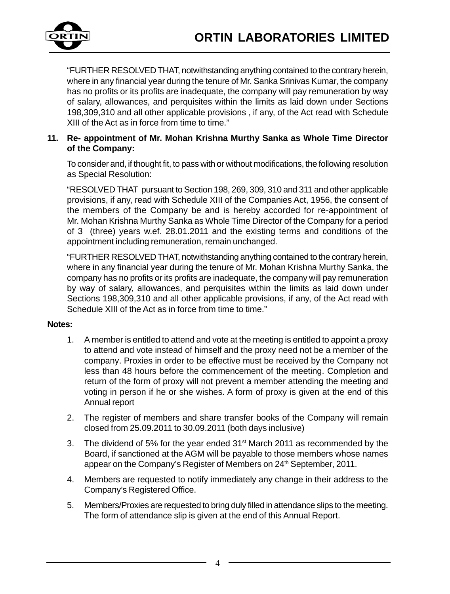

"FURTHER RESOLVED THAT, notwithstanding anything contained to the contrary herein, where in any financial year during the tenure of Mr. Sanka Srinivas Kumar, the company has no profits or its profits are inadequate, the company will pay remuneration by way of salary, allowances, and perquisites within the limits as laid down under Sections 198,309,310 and all other applicable provisions , if any, of the Act read with Schedule XIII of the Act as in force from time to time."

#### **11. Re- appointment of Mr. Mohan Krishna Murthy Sanka as Whole Time Director of the Company:**

To consider and, if thought fit, to pass with or without modifications, the following resolution as Special Resolution:

"RESOLVED THAT pursuant to Section 198, 269, 309, 310 and 311 and other applicable provisions, if any, read with Schedule XIII of the Companies Act, 1956, the consent of the members of the Company be and is hereby accorded for re-appointment of Mr. Mohan Krishna Murthy Sanka as Whole Time Director of the Company for a period of 3 (three) years w.ef. 28.01.2011 and the existing terms and conditions of the appointment including remuneration, remain unchanged.

"FURTHER RESOLVED THAT, notwithstanding anything contained to the contrary herein, where in any financial year during the tenure of Mr. Mohan Krishna Murthy Sanka, the company has no profits or its profits are inadequate, the company will pay remuneration by way of salary, allowances, and perquisites within the limits as laid down under Sections 198,309,310 and all other applicable provisions, if any, of the Act read with Schedule XIII of the Act as in force from time to time."

#### **Notes:**

- 1. A member is entitled to attend and vote at the meeting is entitled to appoint a proxy to attend and vote instead of himself and the proxy need not be a member of the company. Proxies in order to be effective must be received by the Company not less than 48 hours before the commencement of the meeting. Completion and return of the form of proxy will not prevent a member attending the meeting and voting in person if he or she wishes. A form of proxy is given at the end of this Annual report
- 2. The register of members and share transfer books of the Company will remain closed from 25.09.2011 to 30.09.2011 (both days inclusive)
- 3. The dividend of 5% for the year ended 31st March 2011 as recommended by the Board, if sanctioned at the AGM will be payable to those members whose names appear on the Company's Register of Members on 24<sup>th</sup> September, 2011.
- 4. Members are requested to notify immediately any change in their address to the Company's Registered Office.
- 5. Members/Proxies are requested to bring duly filled in attendance slips to the meeting. The form of attendance slip is given at the end of this Annual Report.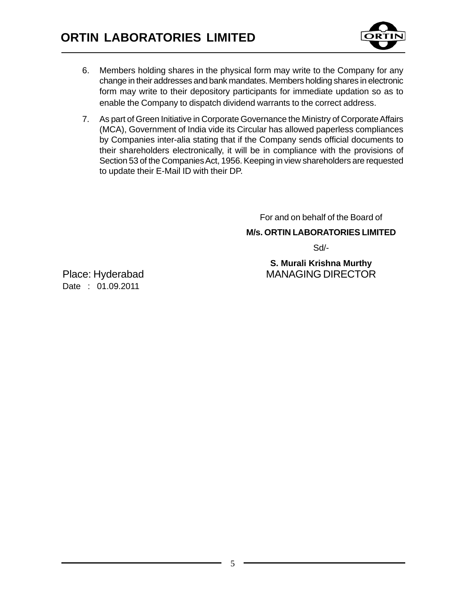

- 6. Members holding shares in the physical form may write to the Company for any change in their addresses and bank mandates. Members holding shares in electronic form may write to their depository participants for immediate updation so as to enable the Company to dispatch dividend warrants to the correct address.
- 7. As part of Green Initiative in Corporate Governance the Ministry of Corporate Affairs (MCA), Government of India vide its Circular has allowed paperless compliances by Companies inter-alia stating that if the Company sends official documents to their shareholders electronically, it will be in compliance with the provisions of Section 53 of the Companies Act, 1956. Keeping in view shareholders are requested to update their E-Mail ID with their DP.

For and on behalf of the Board of

**M/s. ORTIN LABORATORIES LIMITED**

Sd/-

**S. Murali Krishna Murthy** Place: Hyderabad MANAGING DIRECTOR

Date : 01.09.2011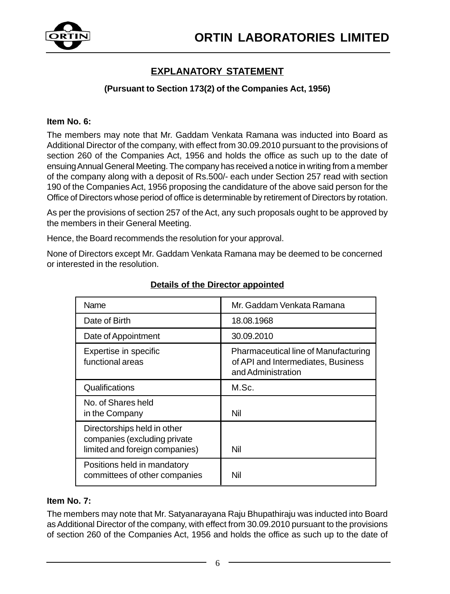

### **EXPLANATORY STATEMENT**

#### **(Pursuant to Section 173(2) of the Companies Act, 1956)**

#### **Item No. 6:**

The members may note that Mr. Gaddam Venkata Ramana was inducted into Board as Additional Director of the company, with effect from 30.09.2010 pursuant to the provisions of section 260 of the Companies Act, 1956 and holds the office as such up to the date of ensuing Annual General Meeting. The company has received a notice in writing from a member of the company along with a deposit of Rs.500/- each under Section 257 read with section 190 of the Companies Act, 1956 proposing the candidature of the above said person for the Office of Directors whose period of office is determinable by retirement of Directors by rotation.

As per the provisions of section 257 of the Act, any such proposals ought to be approved by the members in their General Meeting.

Hence, the Board recommends the resolution for your approval.

None of Directors except Mr. Gaddam Venkata Ramana may be deemed to be concerned or interested in the resolution.

| <b>Name</b>                                                                                   | Mr. Gaddam Venkata Ramana                                                                        |
|-----------------------------------------------------------------------------------------------|--------------------------------------------------------------------------------------------------|
| Date of Birth                                                                                 | 18.08.1968                                                                                       |
| Date of Appointment                                                                           | 30.09.2010                                                                                       |
| Expertise in specific<br>functional areas                                                     | Pharmaceutical line of Manufacturing<br>of API and Intermediates, Business<br>and Administration |
| Qualifications                                                                                | M.Sc.                                                                                            |
| No. of Shares held<br>in the Company                                                          | Nil                                                                                              |
| Directorships held in other<br>companies (excluding private<br>limited and foreign companies) | Nil                                                                                              |
| Positions held in mandatory<br>committees of other companies                                  | Nil                                                                                              |

#### **Details of the Director appointed**

#### **Item No. 7:**

The members may note that Mr. Satyanarayana Raju Bhupathiraju was inducted into Board as Additional Director of the company, with effect from 30.09.2010 pursuant to the provisions of section 260 of the Companies Act, 1956 and holds the office as such up to the date of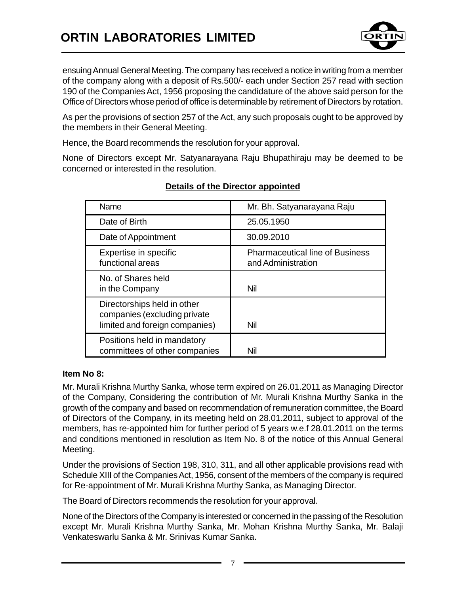

ensuing Annual General Meeting. The company has received a notice in writing from a member of the company along with a deposit of Rs.500/- each under Section 257 read with section 190 of the Companies Act, 1956 proposing the candidature of the above said person for the Office of Directors whose period of office is determinable by retirement of Directors by rotation.

As per the provisions of section 257 of the Act, any such proposals ought to be approved by the members in their General Meeting.

Hence, the Board recommends the resolution for your approval.

None of Directors except Mr. Satyanarayana Raju Bhupathiraju may be deemed to be concerned or interested in the resolution.

| Name                                                                                          | Mr. Bh. Satyanarayana Raju                                   |
|-----------------------------------------------------------------------------------------------|--------------------------------------------------------------|
| Date of Birth                                                                                 | 25.05.1950                                                   |
| Date of Appointment                                                                           | 30.09.2010                                                   |
| Expertise in specific<br>functional areas                                                     | <b>Pharmaceutical line of Business</b><br>and Administration |
| No. of Shares held<br>in the Company                                                          | Nil                                                          |
| Directorships held in other<br>companies (excluding private<br>limited and foreign companies) | Nil                                                          |
| Positions held in mandatory<br>committees of other companies                                  | Nil                                                          |

#### **Details of the Director appointed**

#### **Item No 8:**

Mr. Murali Krishna Murthy Sanka, whose term expired on 26.01.2011 as Managing Director of the Company, Considering the contribution of Mr. Murali Krishna Murthy Sanka in the growth of the company and based on recommendation of remuneration committee, the Board of Directors of the Company, in its meeting held on 28.01.2011, subject to approval of the members, has re-appointed him for further period of 5 years w.e.f 28.01.2011 on the terms and conditions mentioned in resolution as Item No. 8 of the notice of this Annual General Meeting.

Under the provisions of Section 198, 310, 311, and all other applicable provisions read with Schedule XIII of the Companies Act, 1956, consent of the members of the company is required for Re-appointment of Mr. Murali Krishna Murthy Sanka, as Managing Director.

The Board of Directors recommends the resolution for your approval.

None of the Directors of the Company is interested or concerned in the passing of the Resolution except Mr. Murali Krishna Murthy Sanka, Mr. Mohan Krishna Murthy Sanka, Mr. Balaji Venkateswarlu Sanka & Mr. Srinivas Kumar Sanka.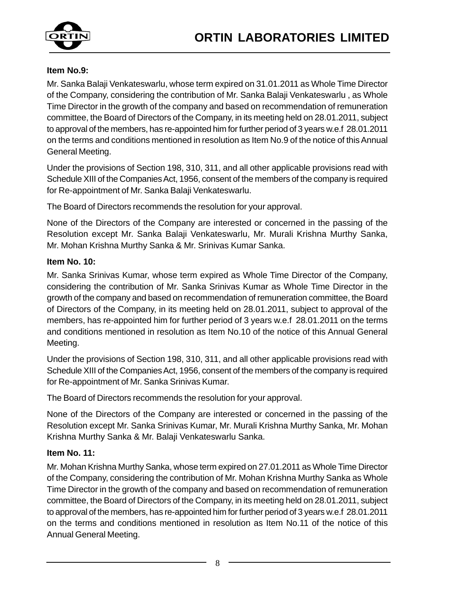

#### **Item No.9:**

Mr. Sanka Balaji Venkateswarlu, whose term expired on 31.01.2011 as Whole Time Director of the Company, considering the contribution of Mr. Sanka Balaji Venkateswarlu , as Whole Time Director in the growth of the company and based on recommendation of remuneration committee, the Board of Directors of the Company, in its meeting held on 28.01.2011, subject to approval of the members, has re-appointed him for further period of 3 years w.e.f 28.01.2011 on the terms and conditions mentioned in resolution as Item No.9 of the notice of this Annual General Meeting.

Under the provisions of Section 198, 310, 311, and all other applicable provisions read with Schedule XIII of the Companies Act, 1956, consent of the members of the company is required for Re-appointment of Mr. Sanka Balaji Venkateswarlu.

The Board of Directors recommends the resolution for your approval.

None of the Directors of the Company are interested or concerned in the passing of the Resolution except Mr. Sanka Balaji Venkateswarlu, Mr. Murali Krishna Murthy Sanka, Mr. Mohan Krishna Murthy Sanka & Mr. Srinivas Kumar Sanka.

#### **Item No. 10:**

Mr. Sanka Srinivas Kumar, whose term expired as Whole Time Director of the Company, considering the contribution of Mr. Sanka Srinivas Kumar as Whole Time Director in the growth of the company and based on recommendation of remuneration committee, the Board of Directors of the Company, in its meeting held on 28.01.2011, subject to approval of the members, has re-appointed him for further period of 3 years w.e.f 28.01.2011 on the terms and conditions mentioned in resolution as Item No.10 of the notice of this Annual General Meeting.

Under the provisions of Section 198, 310, 311, and all other applicable provisions read with Schedule XIII of the Companies Act, 1956, consent of the members of the company is required for Re-appointment of Mr. Sanka Srinivas Kumar.

The Board of Directors recommends the resolution for your approval.

None of the Directors of the Company are interested or concerned in the passing of the Resolution except Mr. Sanka Srinivas Kumar, Mr. Murali Krishna Murthy Sanka, Mr. Mohan Krishna Murthy Sanka & Mr. Balaji Venkateswarlu Sanka.

#### **Item No. 11:**

Mr. Mohan Krishna Murthy Sanka, whose term expired on 27.01.2011 as Whole Time Director of the Company, considering the contribution of Mr. Mohan Krishna Murthy Sanka as Whole Time Director in the growth of the company and based on recommendation of remuneration committee, the Board of Directors of the Company, in its meeting held on 28.01.2011, subject to approval of the members, has re-appointed him for further period of 3 years w.e.f 28.01.2011 on the terms and conditions mentioned in resolution as Item No.11 of the notice of this Annual General Meeting.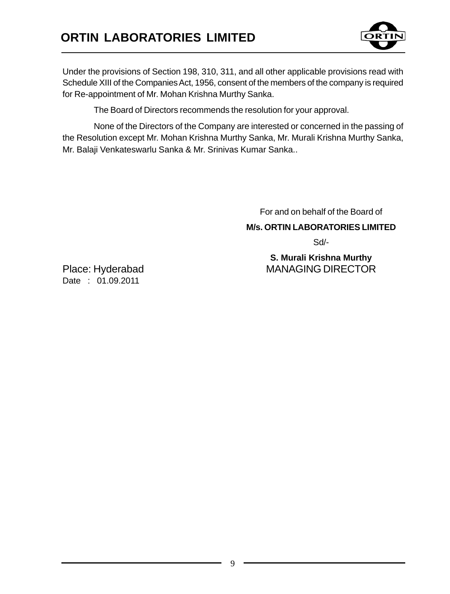

Under the provisions of Section 198, 310, 311, and all other applicable provisions read with Schedule XIII of the Companies Act, 1956, consent of the members of the company is required for Re-appointment of Mr. Mohan Krishna Murthy Sanka.

The Board of Directors recommends the resolution for your approval.

None of the Directors of the Company are interested or concerned in the passing of the Resolution except Mr. Mohan Krishna Murthy Sanka, Mr. Murali Krishna Murthy Sanka, Mr. Balaji Venkateswarlu Sanka & Mr. Srinivas Kumar Sanka..

For and on behalf of the Board of

**M/s. ORTIN LABORATORIES LIMITED**

Sd/-

**S. Murali Krishna Murthy** Place: Hyderabad MANAGING DIRECTOR

Date : 01.09.2011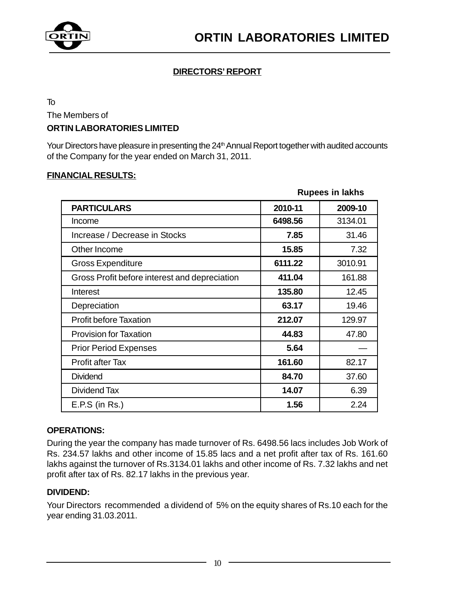

#### **DIRECTORS' REPORT**

To

The Members of

#### **ORTIN LABORATORIES LIMITED**

Your Directors have pleasure in presenting the 24<sup>th</sup> Annual Report together with audited accounts of the Company for the year ended on March 31, 2011.

#### **FINANCIAL RESULTS:**

|                                               |         | <b>Rupees in lakhs</b> |
|-----------------------------------------------|---------|------------------------|
| <b>PARTICULARS</b>                            | 2010-11 | 2009-10                |
| Income                                        | 6498.56 | 3134.01                |
| Increase / Decrease in Stocks                 | 7.85    | 31.46                  |
| Other Income                                  | 15.85   | 7.32                   |
| <b>Gross Expenditure</b>                      | 6111.22 | 3010.91                |
| Gross Profit before interest and depreciation | 411.04  | 161.88                 |
| Interest                                      | 135.80  | 12.45                  |
| Depreciation                                  | 63.17   | 19.46                  |
| <b>Profit before Taxation</b>                 | 212.07  | 129.97                 |
| <b>Provision for Taxation</b>                 | 44.83   | 47.80                  |
| <b>Prior Period Expenses</b>                  | 5.64    |                        |
| Profit after Tax                              | 161.60  | 82.17                  |
| <b>Dividend</b>                               | 84.70   | 37.60                  |
| Dividend Tax                                  | 14.07   | 6.39                   |
| $E.P.S$ (in Rs.)                              | 1.56    | 2.24                   |

#### **OPERATIONS:**

During the year the company has made turnover of Rs. 6498.56 lacs includes Job Work of Rs. 234.57 lakhs and other income of 15.85 lacs and a net profit after tax of Rs. 161.60 lakhs against the turnover of Rs.3134.01 lakhs and other income of Rs. 7.32 lakhs and net profit after tax of Rs. 82.17 lakhs in the previous year.

#### **DIVIDEND:**

Your Directors recommended a dividend of 5% on the equity shares of Rs.10 each for the year ending 31.03.2011.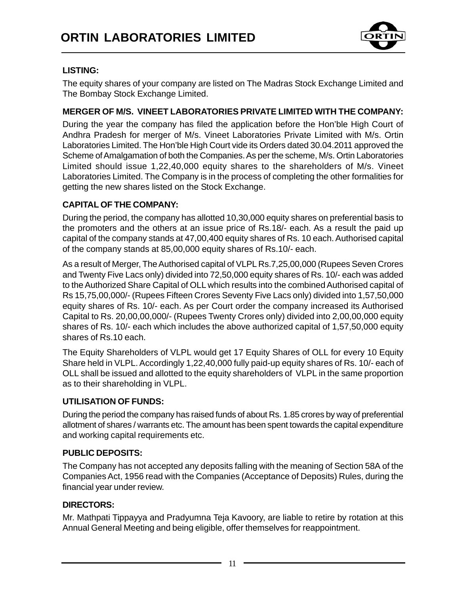

#### **LISTING:**

The equity shares of your company are listed on The Madras Stock Exchange Limited and The Bombay Stock Exchange Limited.

#### **MERGER OF M/S. VINEET LABORATORIES PRIVATE LIMITED WITH THE COMPANY:**

During the year the company has filed the application before the Hon'ble High Court of Andhra Pradesh for merger of M/s. Vineet Laboratories Private Limited with M/s. Ortin Laboratories Limited. The Hon'ble High Court vide its Orders dated 30.04.2011 approved the Scheme of Amalgamation of both the Companies. As per the scheme, M/s. Ortin Laboratories Limited should issue 1,22,40,000 equity shares to the shareholders of M/s. Vineet Laboratories Limited. The Company is in the process of completing the other formalities for getting the new shares listed on the Stock Exchange.

#### **CAPITAL OF THE COMPANY:**

During the period, the company has allotted 10,30,000 equity shares on preferential basis to the promoters and the others at an issue price of Rs.18/- each. As a result the paid up capital of the company stands at 47,00,400 equity shares of Rs. 10 each. Authorised capital of the company stands at 85,00,000 equity shares of Rs.10/- each.

As a result of Merger, The Authorised capital of VLPL Rs.7,25,00,000 (Rupees Seven Crores and Twenty Five Lacs only) divided into 72,50,000 equity shares of Rs. 10/- each was added to the Authorized Share Capital of OLL which results into the combined Authorised capital of Rs 15,75,00,000/- (Rupees Fifteen Crores Seventy Five Lacs only) divided into 1,57,50,000 equity shares of Rs. 10/- each. As per Court order the company increased its Authorised Capital to Rs. 20,00,00,000/- (Rupees Twenty Crores only) divided into 2,00,00,000 equity shares of Rs. 10/- each which includes the above authorized capital of 1,57,50,000 equity shares of Rs.10 each.

The Equity Shareholders of VLPL would get 17 Equity Shares of OLL for every 10 Equity Share held in VLPL. Accordingly 1,22,40,000 fully paid-up equity shares of Rs. 10/- each of OLL shall be issued and allotted to the equity shareholders of VLPL in the same proportion as to their shareholding in VLPL.

#### **UTILISATION OF FUNDS:**

During the period the company has raised funds of about Rs. 1.85 crores by way of preferential allotment of shares / warrants etc. The amount has been spent towards the capital expenditure and working capital requirements etc.

#### **PUBLIC DEPOSITS:**

The Company has not accepted any deposits falling with the meaning of Section 58A of the Companies Act, 1956 read with the Companies (Acceptance of Deposits) Rules, during the financial year under review.

#### **DIRECTORS:**

Mr. Mathpati Tippayya and Pradyumna Teja Kavoory, are liable to retire by rotation at this Annual General Meeting and being eligible, offer themselves for reappointment.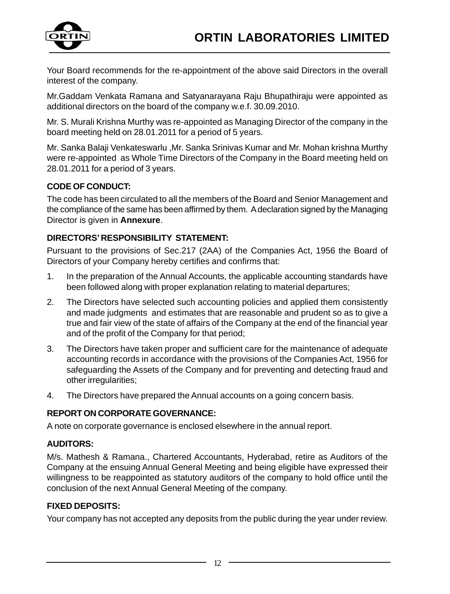

Your Board recommends for the re-appointment of the above said Directors in the overall interest of the company.

Mr.Gaddam Venkata Ramana and Satyanarayana Raju Bhupathiraju were appointed as additional directors on the board of the company w.e.f. 30.09.2010.

Mr. S. Murali Krishna Murthy was re-appointed as Managing Director of the company in the board meeting held on 28.01.2011 for a period of 5 years.

Mr. Sanka Balaji Venkateswarlu ,Mr. Sanka Srinivas Kumar and Mr. Mohan krishna Murthy were re-appointed as Whole Time Directors of the Company in the Board meeting held on 28.01.2011 for a period of 3 years.

#### **CODE OF CONDUCT:**

The code has been circulated to all the members of the Board and Senior Management and the compliance of the same has been affirmed by them. A declaration signed by the Managing Director is given in **Annexure**.

#### **DIRECTORS' RESPONSIBILITY STATEMENT:**

Pursuant to the provisions of Sec.217 (2AA) of the Companies Act, 1956 the Board of Directors of your Company hereby certifies and confirms that:

- 1. In the preparation of the Annual Accounts, the applicable accounting standards have been followed along with proper explanation relating to material departures;
- 2. The Directors have selected such accounting policies and applied them consistently and made judgments and estimates that are reasonable and prudent so as to give a true and fair view of the state of affairs of the Company at the end of the financial year and of the profit of the Company for that period;
- 3. The Directors have taken proper and sufficient care for the maintenance of adequate accounting records in accordance with the provisions of the Companies Act, 1956 for safeguarding the Assets of the Company and for preventing and detecting fraud and other irregularities;
- 4. The Directors have prepared the Annual accounts on a going concern basis.

#### **REPORT ON CORPORATE GOVERNANCE:**

A note on corporate governance is enclosed elsewhere in the annual report.

#### **AUDITORS:**

M/s. Mathesh & Ramana., Chartered Accountants, Hyderabad, retire as Auditors of the Company at the ensuing Annual General Meeting and being eligible have expressed their willingness to be reappointed as statutory auditors of the company to hold office until the conclusion of the next Annual General Meeting of the company.

#### **FIXED DEPOSITS:**

Your company has not accepted any deposits from the public during the year under review.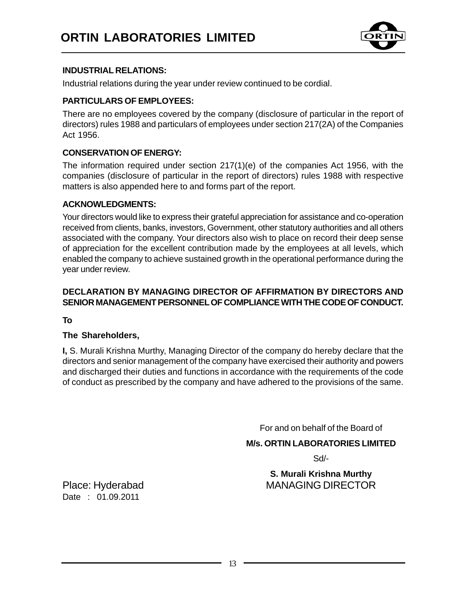

#### **INDUSTRIAL RELATIONS:**

Industrial relations during the year under review continued to be cordial.

#### **PARTICULARS OF EMPLOYEES:**

There are no employees covered by the company (disclosure of particular in the report of directors) rules 1988 and particulars of employees under section 217(2A) of the Companies Act 1956.

#### **CONSERVATION OF ENERGY:**

The information required under section 217(1)(e) of the companies Act 1956, with the companies (disclosure of particular in the report of directors) rules 1988 with respective matters is also appended here to and forms part of the report.

#### **ACKNOWLEDGMENTS:**

Your directors would like to express their grateful appreciation for assistance and co-operation received from clients, banks, investors, Government, other statutory authorities and all others associated with the company. Your directors also wish to place on record their deep sense of appreciation for the excellent contribution made by the employees at all levels, which enabled the company to achieve sustained growth in the operational performance during the year under review.

#### **DECLARATION BY MANAGING DIRECTOR OF AFFIRMATION BY DIRECTORS AND SENIOR MANAGEMENT PERSONNEL OF COMPLIANCE WITH THE CODE OF CONDUCT.**

**To**

#### **The Shareholders,**

**I,** S. Murali Krishna Murthy, Managing Director of the company do hereby declare that the directors and senior management of the company have exercised their authority and powers and discharged their duties and functions in accordance with the requirements of the code of conduct as prescribed by the company and have adhered to the provisions of the same.

For and on behalf of the Board of

**M/s. ORTIN LABORATORIES LIMITED**

Sd/-

**S. Murali Krishna Murthy** Place: Hyderabad MANAGING DIRECTOR

Date : 01.09.2011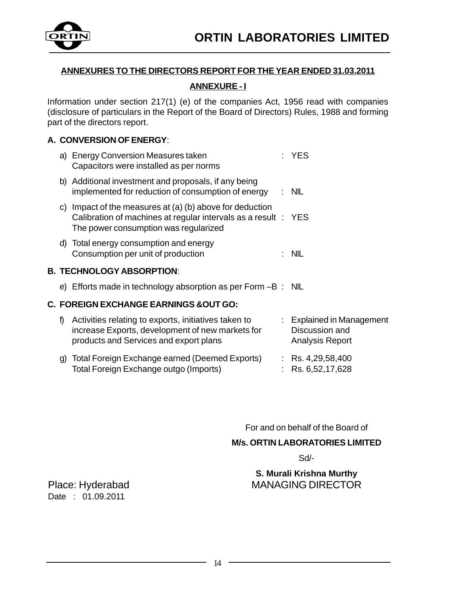

#### **ANNEXURES TO THE DIRECTORS REPORT FOR THE YEAR ENDED 31.03.2011**

#### **ANNEXURE - I**

Information under section 217(1) (e) of the companies Act, 1956 read with companies (disclosure of particulars in the Report of the Board of Directors) Rules, 1988 and forming part of the directors report.

#### **A. CONVERSION OF ENERGY**:

|  | a) Energy Conversion Measures taken<br>Capacitors were installed as per norms                                                                                       | <b>YFS</b> |
|--|---------------------------------------------------------------------------------------------------------------------------------------------------------------------|------------|
|  | b) Additional investment and proposals, if any being<br>implemented for reduction of consumption of energy                                                          | : NIL      |
|  | c) Impact of the measures at (a) (b) above for deduction<br>Calibration of machines at regular intervals as a result : YES<br>The power consumption was regularized |            |
|  | d) Total energy consumption and energy<br>Consumption per unit of production                                                                                        | ·N⊪        |
|  | B. TECHNOLOGY ABSORPTION:                                                                                                                                           |            |

e) Efforts made in technology absorption as per Form –B : NIL

#### **C. FOREIGN EXCHANGE EARNINGS &OUT GO:**

| f) Activities relating to exports, initiatives taken to<br>increase Exports, development of new markets for<br>products and Services and export plans | $\therefore$ Explained in Management<br>Discussion and<br>Analysis Report |
|-------------------------------------------------------------------------------------------------------------------------------------------------------|---------------------------------------------------------------------------|
| g) Total Foreign Exchange earned (Deemed Exports)<br>Total Foreign Exchange outgo (Imports)                                                           | $\therefore$ Rs. 4.29.58.400<br>: $Rs. 6,52,17,628$                       |

For and on behalf of the Board of

#### **M/s. ORTIN LABORATORIES LIMITED**

Sd/-

**S. Murali Krishna Murthy** Place: Hyderabad MANAGING DIRECTOR

Date : 01.09.2011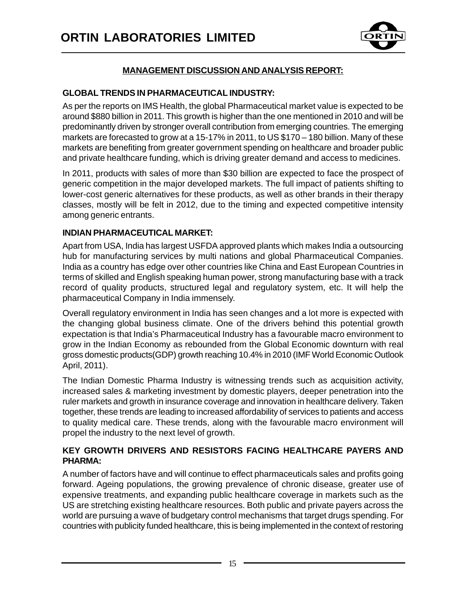

#### **MANAGEMENT DISCUSSION AND ANALYSIS REPORT:**

#### **GLOBAL TRENDS IN PHARMACEUTICAL INDUSTRY:**

As per the reports on IMS Health, the global Pharmaceutical market value is expected to be around \$880 billion in 2011. This growth is higher than the one mentioned in 2010 and will be predominantly driven by stronger overall contribution from emerging countries. The emerging markets are forecasted to grow at a 15-17% in 2011, to US \$170 – 180 billion. Many of these markets are benefiting from greater government spending on healthcare and broader public and private healthcare funding, which is driving greater demand and access to medicines.

In 2011, products with sales of more than \$30 billion are expected to face the prospect of generic competition in the major developed markets. The full impact of patients shifting to lower-cost generic alternatives for these products, as well as other brands in their therapy classes, mostly will be felt in 2012, due to the timing and expected competitive intensity among generic entrants.

#### **INDIAN PHARMACEUTICAL MARKET:**

Apart from USA, India has largest USFDA approved plants which makes India a outsourcing hub for manufacturing services by multi nations and global Pharmaceutical Companies. India as a country has edge over other countries like China and East European Countries in terms of skilled and English speaking human power, strong manufacturing base with a track record of quality products, structured legal and regulatory system, etc. It will help the pharmaceutical Company in India immensely.

Overall regulatory environment in India has seen changes and a lot more is expected with the changing global business climate. One of the drivers behind this potential growth expectation is that India's Pharmaceutical Industry has a favourable macro environment to grow in the Indian Economy as rebounded from the Global Economic downturn with real gross domestic products(GDP) growth reaching 10.4% in 2010 (IMF World Economic Outlook April, 2011).

The Indian Domestic Pharma Industry is witnessing trends such as acquisition activity, increased sales & marketing investment by domestic players, deeper penetration into the ruler markets and growth in insurance coverage and innovation in healthcare delivery. Taken together, these trends are leading to increased affordability of services to patients and access to quality medical care. These trends, along with the favourable macro environment will propel the industry to the next level of growth.

#### **KEY GROWTH DRIVERS AND RESISTORS FACING HEALTHCARE PAYERS AND PHARMA:**

A number of factors have and will continue to effect pharmaceuticals sales and profits going forward. Ageing populations, the growing prevalence of chronic disease, greater use of expensive treatments, and expanding public healthcare coverage in markets such as the US are stretching existing healthcare resources. Both public and private payers across the world are pursuing a wave of budgetary control mechanisms that target drugs spending. For countries with publicity funded healthcare, this is being implemented in the context of restoring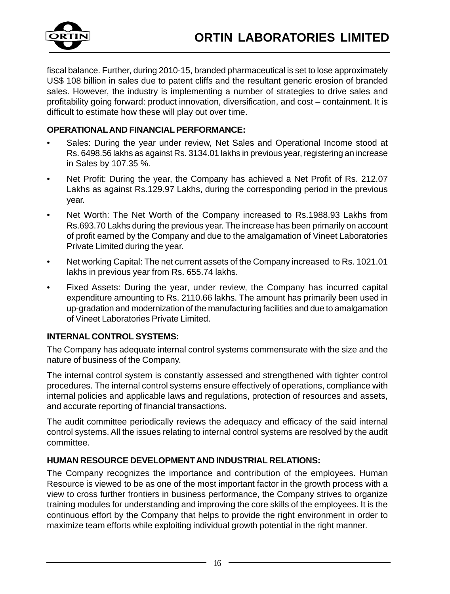

fiscal balance. Further, during 2010-15, branded pharmaceutical is set to lose approximately US\$ 108 billion in sales due to patent cliffs and the resultant generic erosion of branded sales. However, the industry is implementing a number of strategies to drive sales and profitability going forward: product innovation, diversification, and cost – containment. It is difficult to estimate how these will play out over time.

#### **OPERATIONAL AND FINANCIAL PERFORMANCE:**

- Sales: During the year under review, Net Sales and Operational Income stood at Rs. 6498.56 lakhs as against Rs. 3134.01 lakhs in previous year, registering an increase in Sales by 107.35 %.
- Net Profit: During the year, the Company has achieved a Net Profit of Rs. 212.07 Lakhs as against Rs.129.97 Lakhs, during the corresponding period in the previous year.
- Net Worth: The Net Worth of the Company increased to Rs.1988.93 Lakhs from Rs.693.70 Lakhs during the previous year. The increase has been primarily on account of profit earned by the Company and due to the amalgamation of Vineet Laboratories Private Limited during the year.
- Net working Capital: The net current assets of the Company increased to Rs. 1021.01 lakhs in previous year from Rs. 655.74 lakhs.
- Fixed Assets: During the year, under review, the Company has incurred capital expenditure amounting to Rs. 2110.66 lakhs. The amount has primarily been used in up-gradation and modernization of the manufacturing facilities and due to amalgamation of Vineet Laboratories Private Limited.

#### **INTERNAL CONTROL SYSTEMS:**

The Company has adequate internal control systems commensurate with the size and the nature of business of the Company.

The internal control system is constantly assessed and strengthened with tighter control procedures. The internal control systems ensure effectively of operations, compliance with internal policies and applicable laws and regulations, protection of resources and assets, and accurate reporting of financial transactions.

The audit committee periodically reviews the adequacy and efficacy of the said internal control systems. All the issues relating to internal control systems are resolved by the audit committee.

#### **HUMAN RESOURCE DEVELOPMENT AND INDUSTRIAL RELATIONS:**

The Company recognizes the importance and contribution of the employees. Human Resource is viewed to be as one of the most important factor in the growth process with a view to cross further frontiers in business performance, the Company strives to organize training modules for understanding and improving the core skills of the employees. It is the continuous effort by the Company that helps to provide the right environment in order to maximize team efforts while exploiting individual growth potential in the right manner.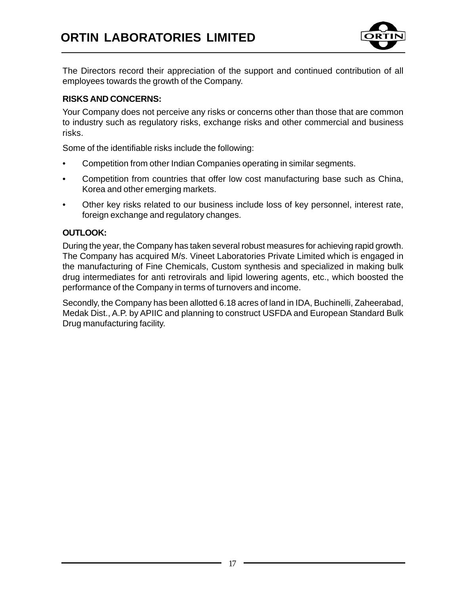

The Directors record their appreciation of the support and continued contribution of all employees towards the growth of the Company.

#### **RISKS AND CONCERNS:**

Your Company does not perceive any risks or concerns other than those that are common to industry such as regulatory risks, exchange risks and other commercial and business risks.

Some of the identifiable risks include the following:

- Competition from other Indian Companies operating in similar segments.
- Competition from countries that offer low cost manufacturing base such as China, Korea and other emerging markets.
- Other key risks related to our business include loss of key personnel, interest rate, foreign exchange and regulatory changes.

#### **OUTLOOK:**

During the year, the Company has taken several robust measures for achieving rapid growth. The Company has acquired M/s. Vineet Laboratories Private Limited which is engaged in the manufacturing of Fine Chemicals, Custom synthesis and specialized in making bulk drug intermediates for anti retrovirals and lipid lowering agents, etc., which boosted the performance of the Company in terms of turnovers and income.

Secondly, the Company has been allotted 6.18 acres of land in IDA, Buchinelli, Zaheerabad, Medak Dist., A.P. by APIIC and planning to construct USFDA and European Standard Bulk Drug manufacturing facility.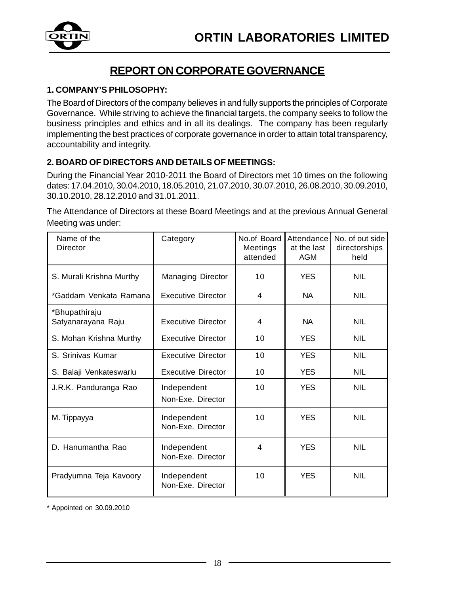

### **REPORT ON CORPORATE GOVERNANCE**

#### **1. COMPANY'S PHILOSOPHY:**

The Board of Directors of the company believes in and fully supports the principles of Corporate Governance. While striving to achieve the financial targets, the company seeks to follow the business principles and ethics and in all its dealings. The company has been regularly implementing the best practices of corporate governance in order to attain total transparency, accountability and integrity.

#### **2. BOARD OF DIRECTORS AND DETAILS OF MEETINGS:**

During the Financial Year 2010-2011 the Board of Directors met 10 times on the following dates: 17.04.2010, 30.04.2010, 18.05.2010, 21.07.2010, 30.07.2010, 26.08.2010, 30.09.2010, 30.10.2010, 28.12.2010 and 31.01.2011.

The Attendance of Directors at these Board Meetings and at the previous Annual General Meeting was under:

| Name of the<br>Director             | Category                         | No.of Board<br>Meetings<br>attended | Attendance<br>at the last<br>AGM | No. of out side<br>directorships<br>held |
|-------------------------------------|----------------------------------|-------------------------------------|----------------------------------|------------------------------------------|
| S. Murali Krishna Murthy            | Managing Director                | 10                                  | <b>YES</b>                       | <b>NIL</b>                               |
| *Gaddam Venkata Ramana              | <b>Executive Director</b>        | 4                                   | <b>NA</b>                        | <b>NIL</b>                               |
| *Bhupathiraju<br>Satyanarayana Raju | <b>Executive Director</b>        | 4                                   | <b>NA</b>                        | <b>NIL</b>                               |
| S. Mohan Krishna Murthy             | Executive Director               | 10                                  | <b>YES</b>                       | <b>NIL</b>                               |
| S. Srinivas Kumar                   | <b>Executive Director</b>        | 10                                  | <b>YES</b>                       | <b>NIL</b>                               |
| S. Balaji Venkateswarlu             | Executive Director               | 10                                  | <b>YES</b>                       | <b>NIL</b>                               |
| J.R.K. Panduranga Rao               | Independent<br>Non-Exe. Director | 10                                  | <b>YES</b>                       | <b>NIL</b>                               |
| M. Tippayya                         | Independent<br>Non-Exe. Director | 10                                  | <b>YFS</b>                       | <b>NIL</b>                               |
| D. Hanumantha Rao                   | Independent<br>Non-Exe. Director | 4                                   | <b>YES</b>                       | <b>NIL</b>                               |
| Pradyumna Teja Kavoory              | Independent<br>Non-Exe. Director | 10                                  | <b>YFS</b>                       | <b>NIL</b>                               |

\* Appointed on 30.09.2010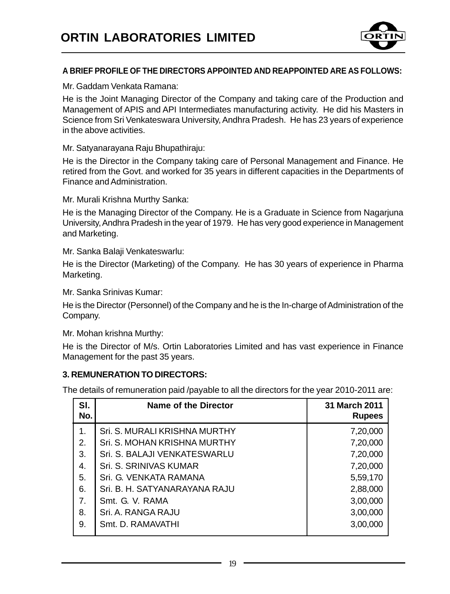

#### **A BRIEF PROFILE OF THE DIRECTORS APPOINTED AND REAPPOINTED ARE AS FOLLOWS:**

Mr. Gaddam Venkata Ramana:

He is the Joint Managing Director of the Company and taking care of the Production and Management of APIS and API Intermediates manufacturing activity. He did his Masters in Science from Sri Venkateswara University, Andhra Pradesh. He has 23 years of experience in the above activities.

Mr. Satyanarayana Raju Bhupathiraju:

He is the Director in the Company taking care of Personal Management and Finance. He retired from the Govt. and worked for 35 years in different capacities in the Departments of Finance and Administration.

Mr. Murali Krishna Murthy Sanka:

He is the Managing Director of the Company. He is a Graduate in Science from Nagarjuna University, Andhra Pradesh in the year of 1979. He has very good experience in Management and Marketing.

Mr. Sanka Balaji Venkateswarlu:

He is the Director (Marketing) of the Company. He has 30 years of experience in Pharma Marketing.

Mr. Sanka Srinivas Kumar:

He is the Director (Personnel) of the Company and he is the In-charge of Administration of the Company.

Mr. Mohan krishna Murthy:

He is the Director of M/s. Ortin Laboratories Limited and has vast experience in Finance Management for the past 35 years.

#### **3. REMUNERATION TO DIRECTORS:**

The details of remuneration paid /payable to all the directors for the year 2010-2011 are:

| SI.<br>No. | Name of the Director          | 31 March 2011<br><b>Rupees</b> |
|------------|-------------------------------|--------------------------------|
| 1.         | Sri. S. MURALI KRISHNA MURTHY | 7,20,000                       |
| 2.         | Sri. S. MOHAN KRISHNA MURTHY  | 7,20,000                       |
| 3.         | Sri. S. BALAJI VENKATESWARLU  | 7,20,000                       |
| 4.         | Sri. S. SRINIVAS KUMAR        | 7,20,000                       |
| 5.         | Sri. G. VENKATA RAMANA        | 5,59,170                       |
| 6.         | Sri. B. H. SATYANARAYANA RAJU | 2,88,000                       |
| 7.         | Smt. G. V. RAMA               | 3,00,000                       |
| 8.         | Sri. A. RANGA RAJU            | 3,00,000                       |
| 9.         | Smt. D. RAMAVATHI             | 3,00,000                       |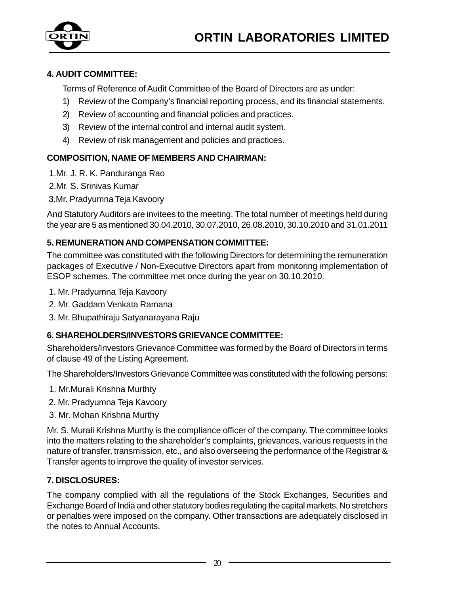

#### **4. AUDIT COMMITTEE:**

Terms of Reference of Audit Committee of the Board of Directors are as under:

- 1) Review of the Company's financial reporting process, and its financial statements.
- 2) Review of accounting and financial policies and practices.
- 3) Review of the internal control and internal audit system.
- 4) Review of risk management and policies and practices.

#### **COMPOSITION, NAME OF MEMBERS AND CHAIRMAN:**

- 1.Mr. J. R. K. Panduranga Rao
- 2.Mr. S. Srinivas Kumar
- 3.Mr. Pradyumna Teja Kavoory

And Statutory Auditors are invitees to the meeting. The total number of meetings held during the year are 5 as mentioned 30.04.2010, 30.07.2010, 26.08.2010, 30.10.2010 and 31.01.2011

#### **5. REMUNERATION AND COMPENSATION COMMITTEE:**

The committee was constituted with the following Directors for determining the remuneration packages of Executive / Non-Executive Directors apart from monitoring implementation of ESOP schemes. The committee met once during the year on 30.10.2010.

- 1. Mr. Pradyumna Teja Kavoory
- 2. Mr. Gaddam Venkata Ramana
- 3. Mr. Bhupathiraju Satyanarayana Raju

#### **6. SHAREHOLDERS/INVESTORS GRIEVANCE COMMITTEE:**

Shareholders/Investors Grievance Committee was formed by the Board of Directors in terms of clause 49 of the Listing Agreement.

The Shareholders/Investors Grievance Committee was constituted with the following persons:

- 1. Mr.Murali Krishna Murthty
- 2. Mr. Pradyumna Teja Kavoory
- 3. Mr. Mohan Krishna Murthy

Mr. S. Murali Krishna Murthy is the compliance officer of the company. The committee looks into the matters relating to the shareholder's complaints, grievances, various requests in the nature of transfer, transmission, etc., and also overseeing the performance of the Registrar & Transfer agents to improve the quality of investor services.

#### **7. DISCLOSURES:**

The company complied with all the regulations of the Stock Exchanges, Securities and Exchange Board of India and other statutory bodies regulating the capital markets. No stretchers or penalties were imposed on the company. Other transactions are adequately disclosed in the notes to Annual Accounts.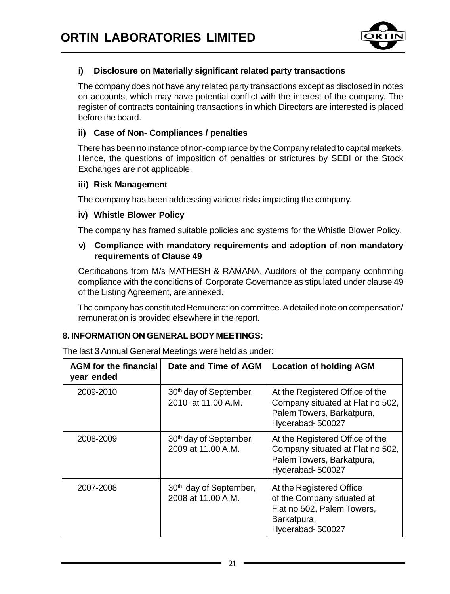

#### **i) Disclosure on Materially significant related party transactions**

The company does not have any related party transactions except as disclosed in notes on accounts, which may have potential conflict with the interest of the company. The register of contracts containing transactions in which Directors are interested is placed before the board.

#### **ii) Case of Non- Compliances / penalties**

There has been no instance of non-compliance by the Company related to capital markets. Hence, the questions of imposition of penalties or strictures by SEBI or the Stock Exchanges are not applicable.

#### **iii) Risk Management**

The company has been addressing various risks impacting the company.

#### **iv) Whistle Blower Policy**

The company has framed suitable policies and systems for the Whistle Blower Policy.

#### **v) Compliance with mandatory requirements and adoption of non mandatory requirements of Clause 49**

Certifications from M/s MATHESH & RAMANA, Auditors of the company confirming compliance with the conditions of Corporate Governance as stipulated under clause 49 of the Listing Agreement, are annexed.

The company has constituted Remuneration committee. A detailed note on compensation/ remuneration is provided elsewhere in the report.

#### **8. INFORMATION ON GENERAL BODY MEETINGS:**

| <b>AGM</b> for the financial<br>year ended | Date and Time of AGM                                     | <b>Location of holding AGM</b>                                                                                          |
|--------------------------------------------|----------------------------------------------------------|-------------------------------------------------------------------------------------------------------------------------|
| 2009-2010                                  | 30 <sup>th</sup> day of September,<br>2010 at 11.00 A.M. | At the Registered Office of the<br>Company situated at Flat no 502,<br>Palem Towers, Barkatpura,<br>Hyderabad-500027    |
| 2008-2009                                  | 30 <sup>th</sup> day of September,<br>2009 at 11.00 A.M. | At the Registered Office of the<br>Company situated at Flat no 502,<br>Palem Towers, Barkatpura,<br>Hyderabad-500027    |
| 2007-2008                                  | 30 <sup>th</sup> day of September,<br>2008 at 11.00 A.M. | At the Registered Office<br>of the Company situated at<br>Flat no 502, Palem Towers,<br>Barkatpura,<br>Hyderabad-500027 |

The last 3 Annual General Meetings were held as under: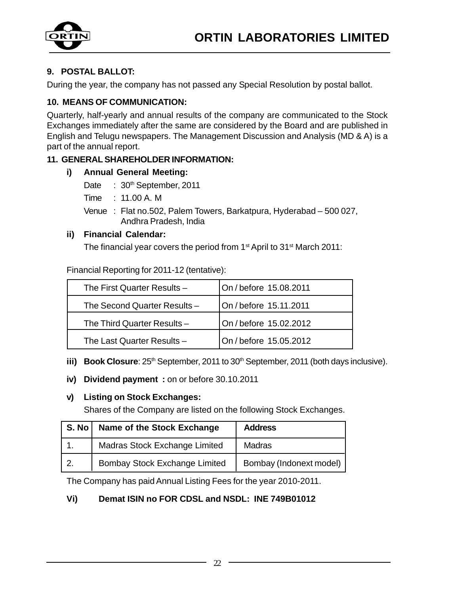

#### **9. POSTAL BALLOT:**

During the year, the company has not passed any Special Resolution by postal ballot.

#### **10. MEANS OF COMMUNICATION:**

Quarterly, half-yearly and annual results of the company are communicated to the Stock Exchanges immediately after the same are considered by the Board and are published in English and Telugu newspapers. The Management Discussion and Analysis (MD & A) is a part of the annual report.

#### **11. GENERAL SHAREHOLDER INFORMATION:**

#### **i) Annual General Meeting:**

- Date : 30<sup>th</sup> September, 2011
- Time : 11.00 A. M
- Venue : Flat no.502, Palem Towers, Barkatpura, Hyderabad 500 027, Andhra Pradesh, India

#### **ii) Financial Calendar:**

The financial year covers the period from 1<sup>st</sup> April to 31<sup>st</sup> March 2011:

Financial Reporting for 2011-12 (tentative):

| The First Quarter Results - | On / before 15.08.2011 |
|-----------------------------|------------------------|
| The Second Quarter Results- | On / before 15.11.2011 |
| The Third Quarter Results-  | On / before 15.02.2012 |
| The Last Quarter Results -  | On / before 15.05.2012 |

**iii) Book Closure**: 25<sup>th</sup> September, 2011 to 30<sup>th</sup> September, 2011 (both days inclusive).

**iv) Dividend payment :** on or before 30.10.2011

#### **v) Listing on Stock Exchanges:**

Shares of the Company are listed on the following Stock Exchanges.

| S. No | Name of the Stock Exchange    | <b>Address</b>          |
|-------|-------------------------------|-------------------------|
|       | Madras Stock Exchange Limited | Madras                  |
| l 2.  | Bombay Stock Exchange Limited | Bombay (Indonext model) |

The Company has paid Annual Listing Fees for the year 2010-2011.

#### **Vi) Demat ISIN no FOR CDSL and NSDL: INE 749B01012**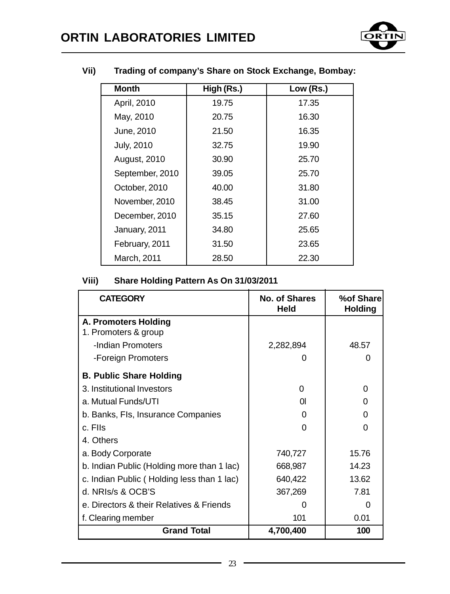

| <b>Month</b>      | High (Rs.) | Low (Rs.) |
|-------------------|------------|-----------|
| April, 2010       | 19.75      | 17.35     |
| May, 2010         | 20.75      | 16.30     |
| June, 2010        | 21.50      | 16.35     |
| <b>July, 2010</b> | 32.75      | 19.90     |
| August, 2010      | 30.90      | 25.70     |
| September, 2010   | 39.05      | 25.70     |
| October, 2010     | 40.00      | 31.80     |
| November, 2010    | 38.45      | 31.00     |
| December, 2010    | 35.15      | 27.60     |
| January, 2011     | 34.80      | 25.65     |
| February, 2011    | 31.50      | 23.65     |
| March, 2011       | 28.50      | 22.30     |

#### **Vii) Trading of company's Share on Stock Exchange, Bombay:**

#### **Viii) Share Holding Pattern As On 31/03/2011**

| <b>CATEGORY</b>                            | No. of Shares<br>Held | %of Share<br><b>Holding</b> |
|--------------------------------------------|-----------------------|-----------------------------|
| <b>A. Promoters Holding</b>                |                       |                             |
| 1. Promoters & group                       |                       |                             |
| -Indian Promoters                          | 2,282,894             | 48.57                       |
| -Foreign Promoters                         |                       |                             |
| <b>B. Public Share Holding</b>             |                       |                             |
| 3. Institutional Investors                 | 0                     | 0                           |
| a. Mutual Funds/UTI                        | ΩI                    | O                           |
| b. Banks, Fls, Insurance Companies         |                       | O                           |
| c. Flis                                    | U                     | ი                           |
| 4. Others                                  |                       |                             |
| a. Body Corporate                          | 740,727               | 15.76                       |
| b. Indian Public (Holding more than 1 lac) | 668,987               | 14.23                       |
| c. Indian Public (Holding less than 1 lac) | 640,422               | 13.62                       |
| d. NRIs/s & OCB'S                          | 367,269               | 7.81                        |
| e. Directors & their Relatives & Friends   |                       |                             |
| f. Clearing member                         | 101                   | 0.01                        |
| <b>Grand Total</b>                         | 4,700,400             | 100                         |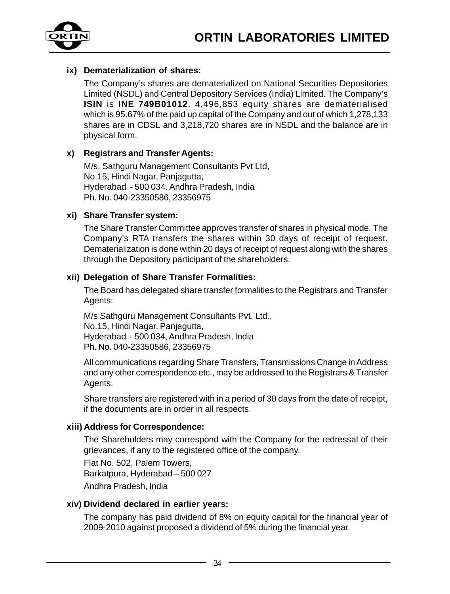

#### **ix) Dematerialization of shares:**

The Company's shares are dematerialized on National Securities Depositories Limited (NSDL) and Central Depository Services (India) Limited. The Company's **ISIN** is **INE 749B01012**. 4,496,853 equity shares are dematerialised which is 95.67% of the paid up capital of the Company and out of which 1,278,133 shares are in CDSL and 3,218,720 shares are in NSDL and the balance are in physical form.

#### **x) Registrars and Transfer Agents:**

M/s. Sathguru Management Consultants Pvt Ltd, No.15, Hindi Nagar, Panjagutta, Hyderabad - 500 034. Andhra Pradesh, India Ph. No. 040-23350586, 23356975

#### **xi) Share Transfer system:**

The Share Transfer Committee approves transfer of shares in physical mode. The Company's RTA transfers the shares within 30 days of receipt of request. Dematerialization is done within 20 days of receipt of request along with the shares through the Depository participant of the shareholders.

#### **xii) Delegation of Share Transfer Formalities:**

The Board has delegated share transfer formalities to the Registrars and Transfer Agents:

M/s Sathguru Management Consultants Pvt. Ltd., No.15, Hindi Nagar, Panjagutta, Hyderabad - 500 034, Andhra Pradesh, India Ph. No. 040-23350586, 23356975

All communications regarding Share Transfers, Transmissions Change in Address and any other correspondence etc., may be addressed to the Registrars & Transfer Agents.

Share transfers are registered with in a period of 30 days from the date of receipt, if the documents are in order in all respects.

#### **xiii) Address for Correspondence:**

The Shareholders may correspond with the Company for the redressal of their grievances, if any to the registered office of the company.

Flat No. 502, Palem Towers, Barkatpura, Hyderabad – 500 027 Andhra Pradesh, India

#### **xiv) Dividend declared in earlier years:**

The company has paid dividend of 8% on equity capital for the financial year of 2009-2010 against proposed a dividend of 5% during the financial year.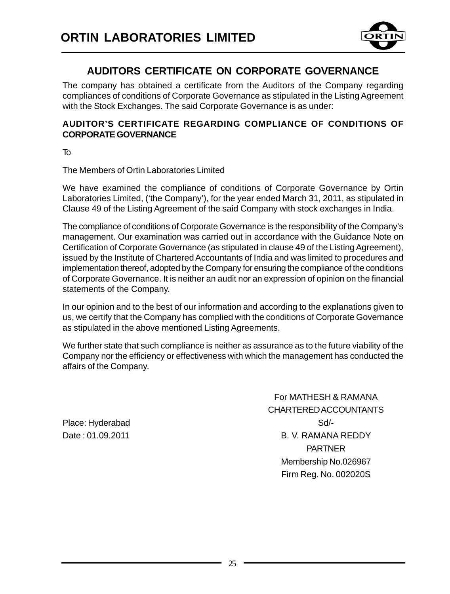

### **AUDITORS CERTIFICATE ON CORPORATE GOVERNANCE**

The company has obtained a certificate from the Auditors of the Company regarding compliances of conditions of Corporate Governance as stipulated in the Listing Agreement with the Stock Exchanges. The said Corporate Governance is as under:

#### **AUDITOR'S CERTIFICATE REGARDING COMPLIANCE OF CONDITIONS OF CORPORATE GOVERNANCE**

To

The Members of Ortin Laboratories Limited

We have examined the compliance of conditions of Corporate Governance by Ortin Laboratories Limited, ('the Company'), for the year ended March 31, 2011, as stipulated in Clause 49 of the Listing Agreement of the said Company with stock exchanges in India.

The compliance of conditions of Corporate Governance is the responsibility of the Company's management. Our examination was carried out in accordance with the Guidance Note on Certification of Corporate Governance (as stipulated in clause 49 of the Listing Agreement), issued by the Institute of Chartered Accountants of India and was limited to procedures and implementation thereof, adopted by the Company for ensuring the compliance of the conditions of Corporate Governance. It is neither an audit nor an expression of opinion on the financial statements of the Company.

In our opinion and to the best of our information and according to the explanations given to us, we certify that the Company has complied with the conditions of Corporate Governance as stipulated in the above mentioned Listing Agreements.

We further state that such compliance is neither as assurance as to the future viability of the Company nor the efficiency or effectiveness with which the management has conducted the affairs of the Company.

For MATHESH & RAMANA CHARTERED ACCOUNTANTS Date : 01.09.2011 B. V. RAMANA REDDY PARTNER Membership No.026967 Firm Reg. No. 002020S

Place: Hyderabad Sd/-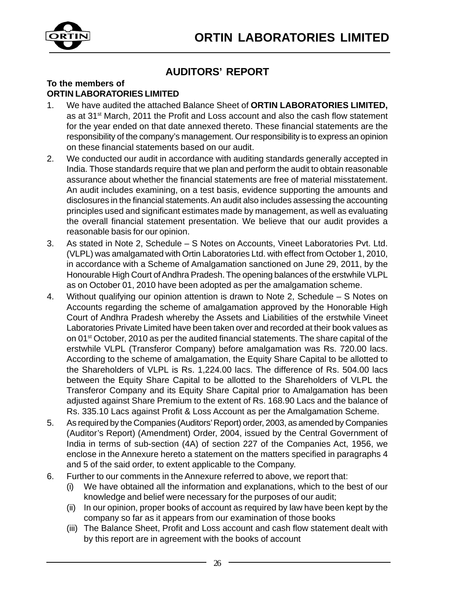

### **AUDITORS' REPORT**

#### **To the members of ORTIN LABORATORIES LIMITED**

- 1. We have audited the attached Balance Sheet of **ORTIN LABORATORIES LIMITED,** as at 31st March, 2011 the Profit and Loss account and also the cash flow statement for the year ended on that date annexed thereto. These financial statements are the responsibility of the company's management. Our responsibility is to express an opinion on these financial statements based on our audit.
- 2. We conducted our audit in accordance with auditing standards generally accepted in India. Those standards require that we plan and perform the audit to obtain reasonable assurance about whether the financial statements are free of material misstatement. An audit includes examining, on a test basis, evidence supporting the amounts and disclosures in the financial statements. An audit also includes assessing the accounting principles used and significant estimates made by management, as well as evaluating the overall financial statement presentation. We believe that our audit provides a reasonable basis for our opinion.
- 3. As stated in Note 2, Schedule S Notes on Accounts, Vineet Laboratories Pvt. Ltd. (VLPL) was amalgamated with Ortin Laboratories Ltd. with effect from October 1, 2010, in accordance with a Scheme of Amalgamation sanctioned on June 29, 2011, by the Honourable High Court of Andhra Pradesh. The opening balances of the erstwhile VLPL as on October 01, 2010 have been adopted as per the amalgamation scheme.
- 4. Without qualifying our opinion attention is drawn to Note 2, Schedule S Notes on Accounts regarding the scheme of amalgamation approved by the Honorable High Court of Andhra Pradesh whereby the Assets and Liabilities of the erstwhile Vineet Laboratories Private Limited have been taken over and recorded at their book values as on 01st October, 2010 as per the audited financial statements. The share capital of the erstwhile VLPL (Transferor Company) before amalgamation was Rs. 720.00 lacs. According to the scheme of amalgamation, the Equity Share Capital to be allotted to the Shareholders of VLPL is Rs. 1,224.00 lacs. The difference of Rs. 504.00 lacs between the Equity Share Capital to be allotted to the Shareholders of VLPL the Transferor Company and its Equity Share Capital prior to Amalgamation has been adjusted against Share Premium to the extent of Rs. 168.90 Lacs and the balance of Rs. 335.10 Lacs against Profit & Loss Account as per the Amalgamation Scheme.
- 5. As required by the Companies (Auditors' Report) order, 2003, as amended by Companies (Auditor's Report) (Amendment) Order, 2004, issued by the Central Government of India in terms of sub-section (4A) of section 227 of the Companies Act, 1956, we enclose in the Annexure hereto a statement on the matters specified in paragraphs 4 and 5 of the said order, to extent applicable to the Company.
- 6. Further to our comments in the Annexure referred to above, we report that:
	- (i) We have obtained all the information and explanations, which to the best of our knowledge and belief were necessary for the purposes of our audit;
	- (ii) In our opinion, proper books of account as required by law have been kept by the company so far as it appears from our examination of those books
	- (iii) The Balance Sheet, Profit and Loss account and cash flow statement dealt with by this report are in agreement with the books of account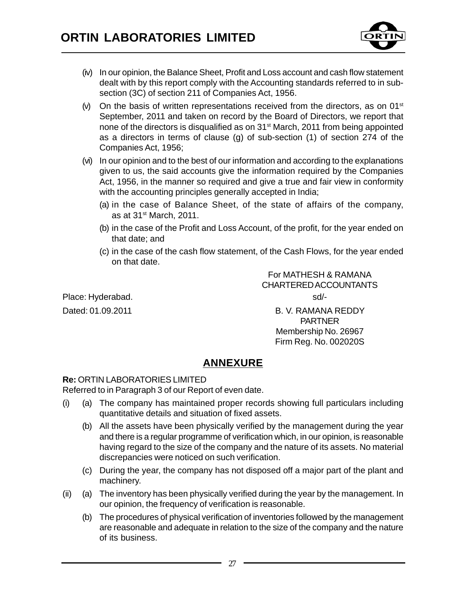

- (iv) In our opinion, the Balance Sheet, Profit and Loss account and cash flow statement dealt with by this report comply with the Accounting standards referred to in subsection (3C) of section 211 of Companies Act, 1956.
- $(v)$  On the basis of written representations received from the directors, as on 01<sup>st</sup> September, 2011 and taken on record by the Board of Directors, we report that none of the directors is disqualified as on 31<sup>st</sup> March, 2011 from being appointed as a directors in terms of clause (g) of sub-section (1) of section 274 of the Companies Act, 1956;
- (vi) In our opinion and to the best of our information and according to the explanations given to us, the said accounts give the information required by the Companies Act, 1956, in the manner so required and give a true and fair view in conformity with the accounting principles generally accepted in India;
	- (a) in the case of Balance Sheet, of the state of affairs of the company, as at  $31<sup>st</sup>$  March, 2011.
	- (b) in the case of the Profit and Loss Account, of the profit, for the year ended on that date; and
	- (c) in the case of the cash flow statement, of the Cash Flows, for the year ended on that date.

Place: Hyderabad. Solution of the state of the state of the state of the state of the state of the state of the state of the state of the state of the state of the state of the state of the state of the state of the state

For MATHESH & RAMANA CHARTERED ACCOUNTANTS

Dated: 01.09.2011 B. V. RAMANA REDDY PARTNER Membership No. 26967 Firm Reg. No. 002020S

### **ANNEXURE**

#### **Re:** ORTIN LABORATORIES LIMITED

Referred to in Paragraph 3 of our Report of even date.

- (i) (a) The company has maintained proper records showing full particulars including quantitative details and situation of fixed assets.
	- (b) All the assets have been physically verified by the management during the year and there is a regular programme of verification which, in our opinion, is reasonable having regard to the size of the company and the nature of its assets. No material discrepancies were noticed on such verification.
	- (c) During the year, the company has not disposed off a major part of the plant and machinery.
- (ii) (a) The inventory has been physically verified during the year by the management. In our opinion, the frequency of verification is reasonable.
	- (b) The procedures of physical verification of inventories followed by the management are reasonable and adequate in relation to the size of the company and the nature of its business.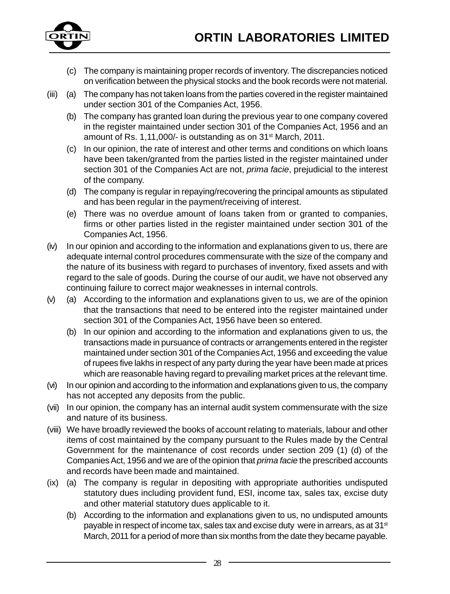

- (c) The company is maintaining proper records of inventory. The discrepancies noticed on verification between the physical stocks and the book records were not material.
- (iii) (a) The company has not taken loans from the parties covered in the register maintained under section 301 of the Companies Act, 1956.
	- (b) The company has granted loan during the previous year to one company covered in the register maintained under section 301 of the Companies Act, 1956 and an amount of Rs. 1,11,000/- is outstanding as on 31<sup>st</sup> March, 2011.
	- (c) In our opinion, the rate of interest and other terms and conditions on which loans have been taken/granted from the parties listed in the register maintained under section 301 of the Companies Act are not, *prima facie*, prejudicial to the interest of the company.
	- (d) The company is regular in repaying/recovering the principal amounts as stipulated and has been regular in the payment/receiving of interest.
	- (e) There was no overdue amount of loans taken from or granted to companies, firms or other parties listed in the register maintained under section 301 of the Companies Act, 1956.
- (iv) In our opinion and according to the information and explanations given to us, there are adequate internal control procedures commensurate with the size of the company and the nature of its business with regard to purchases of inventory, fixed assets and with regard to the sale of goods. During the course of our audit, we have not observed any continuing failure to correct major weaknesses in internal controls.
- (v) (a) According to the information and explanations given to us, we are of the opinion that the transactions that need to be entered into the register maintained under section 301 of the Companies Act, 1956 have been so entered.
	- (b) In our opinion and according to the information and explanations given to us, the transactions made in pursuance of contracts or arrangements entered in the register maintained under section 301 of the Companies Act, 1956 and exceeding the value of rupees five lakhs in respect of any party during the year have been made at prices which are reasonable having regard to prevailing market prices at the relevant time.
- (vi) In our opinion and according to the information and explanations given to us, the company has not accepted any deposits from the public.
- (vii) In our opinion, the company has an internal audit system commensurate with the size and nature of its business.
- (viii) We have broadly reviewed the books of account relating to materials, labour and other items of cost maintained by the company pursuant to the Rules made by the Central Government for the maintenance of cost records under section 209 (1) (d) of the Companies Act, 1956 and we are of the opinion that *prima facie* the prescribed accounts and records have been made and maintained.
- (ix) (a) The company is regular in depositing with appropriate authorities undisputed statutory dues including provident fund, ESI, income tax, sales tax, excise duty and other material statutory dues applicable to it.
	- (b) According to the information and explanations given to us, no undisputed amounts payable in respect of income tax, sales tax and excise duty were in arrears, as at 31<sup>st</sup> March, 2011 for a period of more than six months from the date they became payable.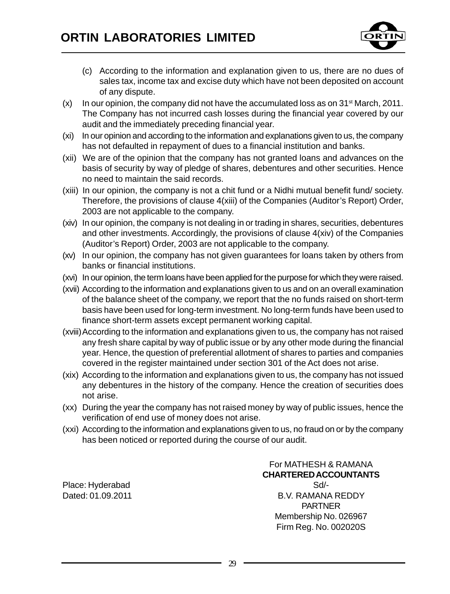

- (c) According to the information and explanation given to us, there are no dues of sales tax, income tax and excise duty which have not been deposited on account of any dispute.
- $(x)$  In our opinion, the company did not have the accumulated loss as on 31<sup>st</sup> March, 2011. The Company has not incurred cash losses during the financial year covered by our audit and the immediately preceding financial year.
- (xi) In our opinion and according to the information and explanations given to us, the company has not defaulted in repayment of dues to a financial institution and banks.
- (xii) We are of the opinion that the company has not granted loans and advances on the basis of security by way of pledge of shares, debentures and other securities. Hence no need to maintain the said records.
- (xiii) In our opinion, the company is not a chit fund or a Nidhi mutual benefit fund/ society. Therefore, the provisions of clause 4(xiii) of the Companies (Auditor's Report) Order, 2003 are not applicable to the company.
- (xiv) In our opinion, the company is not dealing in or trading in shares, securities, debentures and other investments. Accordingly, the provisions of clause 4(xiv) of the Companies (Auditor's Report) Order, 2003 are not applicable to the company.
- (xv) In our opinion, the company has not given guarantees for loans taken by others from banks or financial institutions.
- (xvi) In our opinion, the term loans have been applied for the purpose for which they were raised.
- (xvii) According to the information and explanations given to us and on an overall examination of the balance sheet of the company, we report that the no funds raised on short-term basis have been used for long-term investment. No long-term funds have been used to finance short-term assets except permanent working capital.
- (xviii)According to the information and explanations given to us, the company has not raised any fresh share capital by way of public issue or by any other mode during the financial year. Hence, the question of preferential allotment of shares to parties and companies covered in the register maintained under section 301 of the Act does not arise.
- (xix) According to the information and explanations given to us, the company has not issued any debentures in the history of the company. Hence the creation of securities does not arise.
- (xx) During the year the company has not raised money by way of public issues, hence the verification of end use of money does not arise.
- (xxi) According to the information and explanations given to us, no fraud on or by the company has been noticed or reported during the course of our audit.

Place: Hyderabad Sd/-

For MATHESH & RAMANA **CHARTERED ACCOUNTANTS** Dated: 01.09.2011 **B.V. RAMANA REDDY** PARTNER Membership No. 026967 Firm Reg. No. 002020S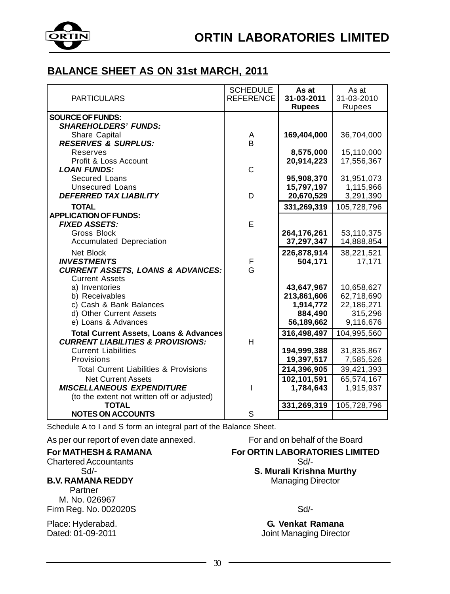

### **BALANCE SHEET AS ON 31st MARCH, 2011**

| <b>PARTICULARS</b>                                                              | <b>SCHEDULE</b><br><b>REFERENCE</b> | As at<br>31-03-2011<br><b>Rupees</b> | As at<br>31-03-2010<br>Rupees |
|---------------------------------------------------------------------------------|-------------------------------------|--------------------------------------|-------------------------------|
| <b>SOURCE OF FUNDS:</b>                                                         |                                     |                                      |                               |
| <b>SHAREHOLDERS' FUNDS:</b>                                                     |                                     |                                      |                               |
| Share Capital<br><b>RESERVES &amp; SURPLUS:</b>                                 | Α<br>B                              | 169,404,000                          | 36,704,000                    |
| Reserves                                                                        |                                     | 8,575,000                            | 15,110,000                    |
| Profit & Loss Account                                                           |                                     | 20,914,223                           | 17,556,367                    |
| <b>LOAN FUNDS:</b>                                                              | C                                   |                                      |                               |
| Secured Loans                                                                   |                                     | 95,908,370                           | 31,951,073                    |
| <b>Unsecured Loans</b>                                                          |                                     | 15,797,197                           | 1,115,966                     |
| <b>DEFERRED TAX LIABILITY</b>                                                   | D                                   | 20,670,529                           | 3,291,390                     |
| <b>TOTAL</b>                                                                    |                                     | 331,269,319                          | 105,728,796                   |
| <b>APPLICATION OF FUNDS:</b><br><b>FIXED ASSETS:</b>                            | E                                   |                                      |                               |
| Gross Block                                                                     |                                     | 264,176,261                          | 53,110,375                    |
| <b>Accumulated Depreciation</b>                                                 |                                     | 37,297,347                           | 14,888,854                    |
| Net Block                                                                       |                                     | 226,878,914                          | 38,221,521                    |
| <b>INVESTMENTS</b>                                                              | F                                   | 504,171                              | 17,171                        |
| <b>CURRENT ASSETS, LOANS &amp; ADVANCES:</b>                                    | G                                   |                                      |                               |
| <b>Current Assets</b>                                                           |                                     |                                      |                               |
| a) Inventories<br>b) Receivables                                                |                                     | 43,647,967<br>213,861,606            | 10,658,627<br>62,718,690      |
| c) Cash & Bank Balances                                                         |                                     | 1,914,772                            | 22,186,271                    |
| d) Other Current Assets                                                         |                                     | 884,490                              | 315,296                       |
| e) Loans & Advances                                                             |                                     | 56,189,662                           | 9,116,676                     |
| <b>Total Current Assets, Loans &amp; Advances</b>                               |                                     | 316,498,497                          | 104,995,560                   |
| <b>CURRENT LIABILITIES &amp; PROVISIONS:</b>                                    | H                                   |                                      |                               |
| <b>Current Liabilities</b>                                                      |                                     | 194,999,388                          | 31,835,867                    |
| Provisions                                                                      |                                     | 19,397,517                           | 7,585,526                     |
| <b>Total Current Liabilities &amp; Provisions</b>                               |                                     | 214,396,905                          | 39,421,393                    |
| <b>Net Current Assets</b>                                                       |                                     | 102,101,591                          | 65,574,167                    |
| <b>MISCELLANEOUS EXPENDITURE</b><br>(to the extent not written off or adjusted) |                                     | 1,784,643                            | 1,915,937                     |
| <b>TOTAL</b>                                                                    |                                     | 331,269,319                          | 105,728,796                   |
| <b>NOTES ON ACCOUNTS</b>                                                        | S                                   |                                      |                               |

Schedule A to I and S form an integral part of the Balance Sheet.

As per our report of even date annexed. For and on behalf of the Board

### **For MATHESH & RAMANA For ORTIN LABORATORIES LIMITED**<br>Chartered Accountants

Chartered Accountants Sd/-

#### **B.V. RAMANA REDDY**

 Partner M. No. 026967 Firm Reg. No. 002020S Sd/-

**S. Murali Krishna Murthy**<br>Managing Director

Place: Hyderabad. **G. Venkat Ramana** Dated: 01-09-2011 **Dated: 01-09-2011** Joint Managing Director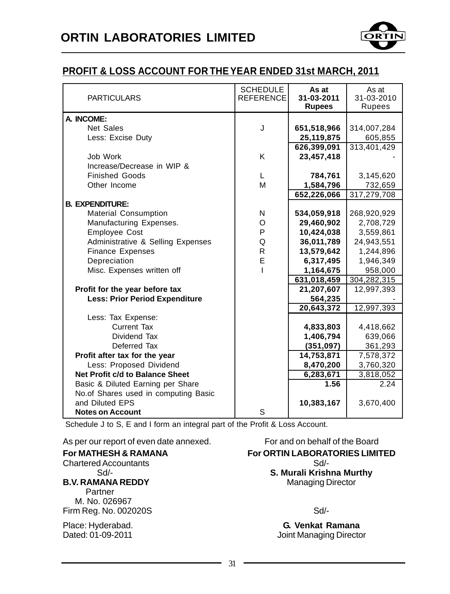

### **PROFIT & LOSS ACCOUNT FOR THE YEAR ENDED 31st MARCH, 2011**

| <b>PARTICULARS</b>                                      | <b>SCHEDULE</b><br><b>REFERENCE</b> | As at<br>31-03-2011<br><b>Rupees</b> | As at<br>31-03-2010<br>Rupees |
|---------------------------------------------------------|-------------------------------------|--------------------------------------|-------------------------------|
| A. INCOME:                                              |                                     |                                      |                               |
| <b>Net Sales</b>                                        | J                                   | 651,518,966                          | 314,007,284                   |
| Less: Excise Duty                                       |                                     | 25,119,875                           | 605,855                       |
|                                                         |                                     | 626,399,091                          | 313,401,429                   |
| Job Work                                                | K                                   | 23,457,418                           |                               |
| Increase/Decrease in WIP &                              |                                     |                                      |                               |
| <b>Finished Goods</b>                                   | L                                   | 784,761                              | 3,145,620                     |
| Other Income                                            | M                                   | 1,584,796                            | 732,659                       |
|                                                         |                                     | 652,226,066                          | 317,279,708                   |
| <b>B. EXPENDITURE:</b>                                  |                                     |                                      |                               |
| <b>Material Consumption</b>                             | N                                   | 534,059,918                          | 268,920,929                   |
| Manufacturing Expenses.                                 | O                                   | 29,460,902                           | 2,708,729                     |
| <b>Employee Cost</b>                                    | P                                   | 10,424,038                           | 3,559,861                     |
| Administrative & Selling Expenses                       | Q                                   | 36,011,789                           | 24,943,551                    |
| <b>Finance Expenses</b>                                 | R                                   | 13,579,642                           | 1,244,896                     |
| Depreciation                                            | E                                   | 6,317,495                            | 1,946,349                     |
| Misc. Expenses written off                              | I                                   | 1,164,675                            | 958,000                       |
|                                                         |                                     | 631,018,459                          | 304,282,315                   |
| Profit for the year before tax                          |                                     | 21,207,607                           | 12,997,393                    |
| <b>Less: Prior Period Expenditure</b>                   |                                     | 564,235                              |                               |
|                                                         |                                     | 20,643,372                           | 12,997,393                    |
| Less: Tax Expense:                                      |                                     |                                      |                               |
| <b>Current Tax</b>                                      |                                     | 4,833,803                            | 4,418,662                     |
| Dividend Tax                                            |                                     | 1,406,794                            | 639,066                       |
| Deferred Tax                                            |                                     | (351,097)                            | 361,293                       |
| Profit after tax for the year                           |                                     | 14,753,871                           | 7,578,372                     |
| Less: Proposed Dividend                                 |                                     | 8,470,200                            | 3,760,320                     |
| Net Profit c/d to Balance Sheet                         |                                     | 6,283,671                            | 3,818,052                     |
| Basic & Diluted Earning per Share                       |                                     | 1.56                                 | 2.24                          |
| No.of Shares used in computing Basic<br>and Diluted EPS |                                     |                                      |                               |
| <b>Notes on Account</b>                                 | S                                   | 10,383,167                           | 3,670,400                     |
|                                                         |                                     |                                      |                               |

Schedule J to S, E and I form an integral part of the Profit & Loss Account.

As per our report of even date annexed. For and on behalf of the Board

| <b>For MATHESH &amp; RAMANA</b> | <b>For ORTIN LABORA</b> |
|---------------------------------|-------------------------|
| <b>Chartered Accountants</b>    | Sd/-                    |
| $Sd$ -                          | S. Murali Krish         |
| <b>B.V. RAMANA REDDY</b>        | Managing I              |
| Partner                         |                         |
| M. No. 026967                   |                         |
| Firm Reg. No. 002020S           | Sd/-                    |
| Place: Hyderabad.               | G. Venkat F             |
| Dated: 01-00-2011               | Ioint Managin           |

**For ORTIN LABORATORIES LIMITED S. Murali Krishna Murthy Managing Director** 

**G. Venkat Ramana** Dated: 01-09-2011 **Dated:** 01-09-2011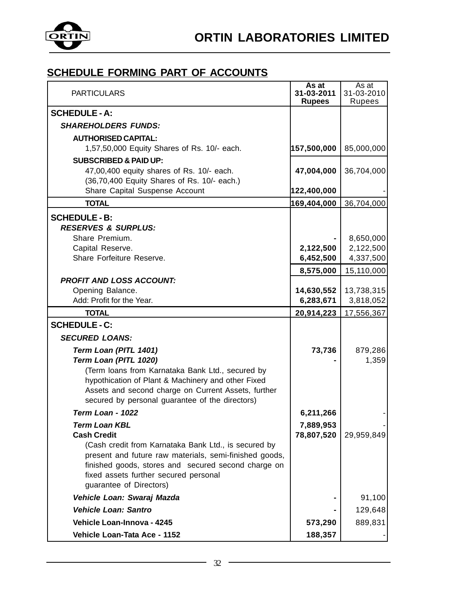

| <b>PARTICULARS</b>                                                                                     | As at<br>31-03-2011<br><b>Rupees</b> | As at<br>31-03-2010<br>Rupees |
|--------------------------------------------------------------------------------------------------------|--------------------------------------|-------------------------------|
| <b>SCHEDULE - A:</b>                                                                                   |                                      |                               |
| <b>SHAREHOLDERS FUNDS:</b>                                                                             |                                      |                               |
| <b>AUTHORISED CAPITAL:</b>                                                                             |                                      |                               |
| 1,57,50,000 Equity Shares of Rs. 10/- each.                                                            | 157,500,000                          | 85,000,000                    |
| <b>SUBSCRIBED &amp; PAID UP:</b>                                                                       |                                      |                               |
| 47,00,400 equity shares of Rs. 10/- each.                                                              | 47,004,000                           | 36,704,000                    |
| (36,70,400 Equity Shares of Rs. 10/- each.)                                                            |                                      |                               |
| Share Capital Suspense Account                                                                         | 122,400,000                          |                               |
| <b>TOTAL</b>                                                                                           | 169,404,000                          | 36,704,000                    |
| <b>SCHEDULE - B:</b><br><b>RESERVES &amp; SURPLUS:</b>                                                 |                                      |                               |
| Share Premium.                                                                                         |                                      | 8,650,000                     |
| Capital Reserve.                                                                                       | 2,122,500                            | 2,122,500                     |
| Share Forfeiture Reserve.                                                                              | 6,452,500                            | 4,337,500                     |
| <b>PROFIT AND LOSS ACCOUNT:</b>                                                                        | 8,575,000                            | 15,110,000                    |
| Opening Balance.                                                                                       | 14,630,552                           | 13,738,315                    |
| Add: Profit for the Year.                                                                              | 6,283,671                            | 3,818,052                     |
| <b>TOTAL</b>                                                                                           | 20,914,223                           | 17,556,367                    |
| <b>SCHEDULE - C:</b>                                                                                   |                                      |                               |
| <b>SECURED LOANS:</b>                                                                                  |                                      |                               |
| Term Loan (PITL 1401)                                                                                  | 73,736                               | 879,286                       |
| Term Loan (PITL 1020)                                                                                  |                                      | 1,359                         |
| (Term loans from Karnataka Bank Ltd., secured by                                                       |                                      |                               |
| hypothication of Plant & Machinery and other Fixed                                                     |                                      |                               |
| Assets and second charge on Current Assets, further<br>secured by personal guarantee of the directors) |                                      |                               |
| Term Loan - 1022                                                                                       |                                      |                               |
|                                                                                                        | 6,211,266                            |                               |
| <b>Term Loan KBL</b><br><b>Cash Credit</b>                                                             | 7,889,953<br>78,807,520              | 29,959,849                    |
| (Cash credit from Karnataka Bank Ltd., is secured by                                                   |                                      |                               |
| present and future raw materials, semi-finished goods,                                                 |                                      |                               |
| finished goods, stores and secured second charge on                                                    |                                      |                               |
| fixed assets further secured personal                                                                  |                                      |                               |
| guarantee of Directors)                                                                                |                                      |                               |
| Vehicle Loan: Swaraj Mazda                                                                             |                                      | 91,100                        |
| <b>Vehicle Loan: Santro</b>                                                                            |                                      | 129,648                       |
| Vehicle Loan-Innova - 4245                                                                             | 573,290                              | 889,831                       |
| Vehicle Loan-Tata Ace - 1152                                                                           | 188,357                              |                               |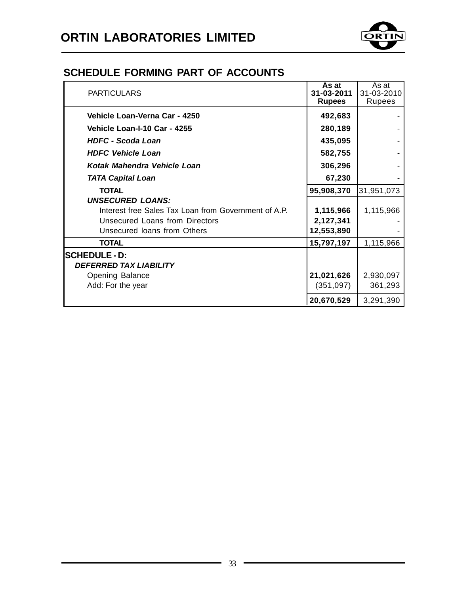

| <b>PARTICULARS</b>                                   | As at<br>31-03-2011<br><b>Rupees</b> | As at<br>31-03-2010<br>Rupees |
|------------------------------------------------------|--------------------------------------|-------------------------------|
| Vehicle Loan-Verna Car - 4250                        | 492,683                              |                               |
| Vehicle Loan-I-10 Car - 4255                         | 280,189                              |                               |
| <b>HDFC - Scoda Loan</b>                             | 435,095                              |                               |
| <b>HDFC Vehicle Loan</b>                             | 582,755                              |                               |
| Kotak Mahendra Vehicle Loan                          | 306,296                              |                               |
| <b>TATA Capital Loan</b>                             | 67,230                               |                               |
| <b>TOTAL</b>                                         | 95,908,370                           | 31,951,073                    |
| <b>UNSECURED LOANS:</b>                              |                                      |                               |
| Interest free Sales Tax Loan from Government of A.P. | 1,115,966                            | 1,115,966                     |
| Unsecured Loans from Directors                       | 2,127,341                            |                               |
| Unsecured loans from Others                          | 12,553,890                           |                               |
| <b>TOTAL</b>                                         | 15,797,197                           | 1,115,966                     |
| <b>SCHEDULE - D:</b>                                 |                                      |                               |
| <b>DEFERRED TAX LIABILITY</b>                        |                                      |                               |
| <b>Opening Balance</b>                               | 21,021,626                           | 2,930,097                     |
| Add: For the year                                    | (351,097)                            | 361,293                       |
|                                                      | 20,670,529                           | 3,291,390                     |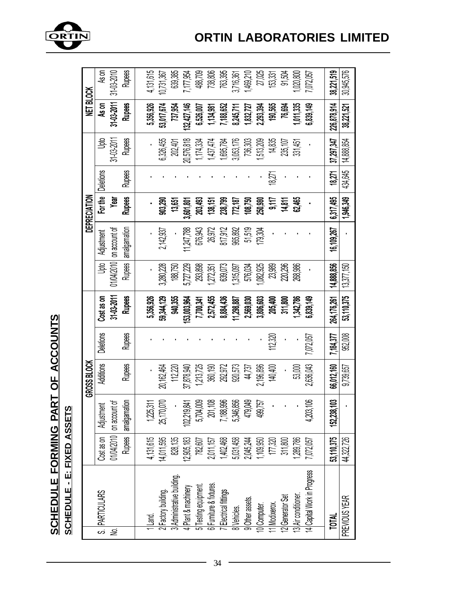

ORTIN

|   |                                                                                                                |                 |               | GROSS BLOCK      |                  |                        |                      |               | DEPRECIATION                             |                   |                        | NET BLOCK     |                                |
|---|----------------------------------------------------------------------------------------------------------------|-----------------|---------------|------------------|------------------|------------------------|----------------------|---------------|------------------------------------------|-------------------|------------------------|---------------|--------------------------------|
|   | S. PARTICULARS                                                                                                 | Cost as on      | Adjustment    | <b>Additions</b> | <b>Deletions</b> | Cost as on             | ghtu                 | Adjustment    | For the                                  | <b>Deletions</b>  | å                      | As on         | As on                          |
| ş |                                                                                                                | 01/04/2010      | on account of |                  |                  | 31-03-2011             | 01/04/2010           | on account of | Year                                     |                   | 31-03-2011             | 31-03-2011    | 31-03-2010                     |
|   |                                                                                                                | <b>Rupees</b>   | amalgamation  | <b>Rupees</b>    | <b>Rupees</b>    | <b>Rupees</b>          | <b>Rupees</b>        | amalgamation  | <b>Rupes</b>                             | <b>Rupes</b>      | <b>Rupess</b>          | <b>Rupees</b> | <b>Rupes</b>                   |
|   |                                                                                                                |                 |               |                  |                  |                        |                      |               |                                          |                   |                        |               |                                |
|   | $L$ and.                                                                                                       | 4,131,615       | 1,225,31      |                  |                  | 5,356,926              |                      |               |                                          |                   |                        | 5,356,926     | 4,131,615                      |
|   |                                                                                                                | 1,011,595       | 25,170,070    | 20,162,464       |                  | 59,344,129             | 3,280,228            | 2,142,937     | 903,290                                  |                   | 6,326,455              | 53,017,674    | 10,731,367                     |
|   | 2 Factory building.<br>3 Administrative building.                                                              | 828,135         |               | 112,220          |                  | 940,355                | 188,750              |               | 13,651                                   |                   | 202,401                | 737,954       | 639,385                        |
|   |                                                                                                                | 905,183         | 02,219,841    | 87,878,940       |                  | 153,003,964            | 5,727,229            | 1,247,788     | 108,109                                  |                   | 20,576,818             | 132,427,146   | 7,177,954                      |
|   |                                                                                                                | 782,607         | 5,704,009     | 1,213,725        |                  | 7,700,341              | 293,898              | 676,943       | 203,493                                  |                   | 1,174,334              | 6,526,007     |                                |
|   |                                                                                                                | 011,157         | 201,108       | 360,190          |                  |                        |                      | 26,972        |                                          |                   |                        | 1,134,981     |                                |
|   | 4 Plant & machinery<br>5 Testing equipment.<br>6 Furniture & fixtures.<br>7 Electrical fittings<br>8 Vehicles. | 402,468         | 7,188,996     | 292,972          |                  | 2,572,455<br>8,884,436 | 1,272,351<br>639,073 | 817,912       | 138,151<br>238,799<br>772,187<br>108,750 |                   | 1,437,474<br>1,695,784 | 7,188,652     | 488,709<br>738,806<br>763,395  |
|   |                                                                                                                | 5,031,458       | 5,346,856     | 920,573          |                  | 11,298,887             |                      | 965,892       |                                          |                   | 3,053,176<br>736,303   | 8,245,711     | 3,716,361                      |
|   |                                                                                                                | 045,244         | 479,049       | 44,737           |                  | 2,569,030              | 1,315,097<br>576,034 | 51,519        |                                          |                   |                        | 1,832,727     |                                |
|   |                                                                                                                | 109,950         | 499,757       | 2,196,896        |                  | 3,806,603              | 082,925              | 179,304       | 250,980                                  |                   | 513,209                | 2,293,394     | 1,469,210<br>27,025<br>153,331 |
|   | 9 Other assets.<br>10 Computer.<br>11 Modixerox.<br>12 Generator Set<br>13 Air conditioner.                    | 177,320         |               | 140,400          | 112,320          | 205,400                | 23,989               |               |                                          | 1827 <sup>.</sup> | 14,835                 | 190,565       |                                |
|   |                                                                                                                | 311,800         |               |                  |                  | 311,800                | 220,296              |               | 9,117<br>14,811                          |                   | 235,107                | 76,694        | 91,504                         |
|   |                                                                                                                | 289,786         |               | 53,000           |                  | 342,786                | 268,986              |               | 62,46                                    |                   | 331,451                | 011,335       | ,020,800                       |
|   | 4 Capital Work in Progress                                                                                     | 072,057         | 4,203,106     | 2,636,043        | 072,057          | 839,149                |                      |               |                                          |                   |                        | 839,149       | 072,057                        |
|   |                                                                                                                |                 |               |                  |                  |                        |                      |               |                                          |                   |                        |               |                                |
|   | <b>TOTAL</b>                                                                                                   | 3,110,375<br>ĽÓ | 152,238,103   | 66,012,160       | 7,184,377        | 264,176,261            | 14,888,856           | 16,109,267    | 6,317 495                                | 18,271            | 37,297,347             | 226,878,914   | 38,221,519                     |
|   | PREVIOUS YEAR                                                                                                  | 1,322,726<br>₹  |               | 9,739,657        | 952,008          | 53,110,375             | 13,377,150           |               | 1,946,349                                | 434,645           | 14,888,854             | 38,221,521    | 30,945,576                     |

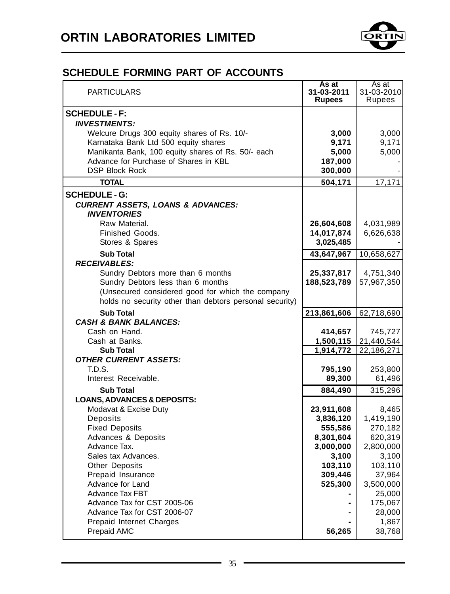

| <b>SCHEDULE - F:</b><br><b>INVESTMENTS:</b><br>Welcure Drugs 300 equity shares of Rs. 10/-<br>3,000<br>3,000<br>Karnataka Bank Ltd 500 equity shares<br>9,171<br>9,171<br>Manikanta Bank, 100 equity shares of Rs. 50/- each<br>5,000<br>5,000<br>Advance for Purchase of Shares in KBL<br>187,000<br><b>DSP Block Rock</b><br>300,000<br><b>TOTAL</b><br>17,171<br>504,171<br><b>SCHEDULE - G:</b><br><b>CURRENT ASSETS, LOANS &amp; ADVANCES:</b><br><b>INVENTORIES</b><br>Raw Material.<br>26,604,608<br>4,031,989<br>Finished Goods.<br>14,017,874<br>6,626,638<br>Stores & Spares<br>3,025,485<br><b>Sub Total</b><br>10,658,627<br>43,647,967<br><b>RECEIVABLES:</b><br>Sundry Debtors more than 6 months<br>25,337,817<br>4,751,340<br>Sundry Debtors less than 6 months<br>57,967,350<br>188,523,789<br>(Unsecured considered good for which the company<br>holds no security other than debtors personal security)<br><b>Sub Total</b><br>213,861,606<br>62,718,690<br><b>CASH &amp; BANK BALANCES:</b><br>Cash on Hand.<br>414,657<br>745,727<br>1,500,115<br>21,440,544<br>Cash at Banks.<br>1,914,772<br>22,186,271<br><b>Sub Total</b><br><b>OTHER CURRENT ASSETS:</b><br>T.D.S.<br>795,190<br>253,800<br>Interest Receivable.<br>89,300<br>61,496<br><b>Sub Total</b><br>884,490<br>315,296<br><b>LOANS, ADVANCES &amp; DEPOSITS:</b><br>Modavat & Excise Duty<br>23,911,608<br>8,465<br>Deposits<br>1,419,190<br>3,836,120<br><b>Fixed Deposits</b><br>555,586<br>270,182<br>Advances & Deposits<br>8,301,604<br>620,319<br>Advance Tax.<br>2,800,000<br>3,000,000<br>Sales tax Advances.<br>3,100<br>3,100<br><b>Other Deposits</b><br>103,110<br>103,110<br>Prepaid Insurance<br>309,446<br>37,964<br>Advance for Land<br>525,300<br>3,500,000<br><b>Advance Tax FBT</b><br>25,000<br>Advance Tax for CST 2005-06<br>175,067<br>Advance Tax for CST 2006-07<br>28,000<br>Prepaid Internet Charges<br>1,867<br>Prepaid AMC<br>56,265<br>38,768 | <b>PARTICULARS</b> | As at<br>31-03-2011<br><b>Rupees</b> | As at<br>31-03-2010<br>Rupees |
|----------------------------------------------------------------------------------------------------------------------------------------------------------------------------------------------------------------------------------------------------------------------------------------------------------------------------------------------------------------------------------------------------------------------------------------------------------------------------------------------------------------------------------------------------------------------------------------------------------------------------------------------------------------------------------------------------------------------------------------------------------------------------------------------------------------------------------------------------------------------------------------------------------------------------------------------------------------------------------------------------------------------------------------------------------------------------------------------------------------------------------------------------------------------------------------------------------------------------------------------------------------------------------------------------------------------------------------------------------------------------------------------------------------------------------------------------------------------------------------------------------------------------------------------------------------------------------------------------------------------------------------------------------------------------------------------------------------------------------------------------------------------------------------------------------------------------------------------------------------------------------------------------------------------------------------------------------------|--------------------|--------------------------------------|-------------------------------|
|                                                                                                                                                                                                                                                                                                                                                                                                                                                                                                                                                                                                                                                                                                                                                                                                                                                                                                                                                                                                                                                                                                                                                                                                                                                                                                                                                                                                                                                                                                                                                                                                                                                                                                                                                                                                                                                                                                                                                                |                    |                                      |                               |
|                                                                                                                                                                                                                                                                                                                                                                                                                                                                                                                                                                                                                                                                                                                                                                                                                                                                                                                                                                                                                                                                                                                                                                                                                                                                                                                                                                                                                                                                                                                                                                                                                                                                                                                                                                                                                                                                                                                                                                |                    |                                      |                               |
|                                                                                                                                                                                                                                                                                                                                                                                                                                                                                                                                                                                                                                                                                                                                                                                                                                                                                                                                                                                                                                                                                                                                                                                                                                                                                                                                                                                                                                                                                                                                                                                                                                                                                                                                                                                                                                                                                                                                                                |                    |                                      |                               |
|                                                                                                                                                                                                                                                                                                                                                                                                                                                                                                                                                                                                                                                                                                                                                                                                                                                                                                                                                                                                                                                                                                                                                                                                                                                                                                                                                                                                                                                                                                                                                                                                                                                                                                                                                                                                                                                                                                                                                                |                    |                                      |                               |
|                                                                                                                                                                                                                                                                                                                                                                                                                                                                                                                                                                                                                                                                                                                                                                                                                                                                                                                                                                                                                                                                                                                                                                                                                                                                                                                                                                                                                                                                                                                                                                                                                                                                                                                                                                                                                                                                                                                                                                |                    |                                      |                               |
|                                                                                                                                                                                                                                                                                                                                                                                                                                                                                                                                                                                                                                                                                                                                                                                                                                                                                                                                                                                                                                                                                                                                                                                                                                                                                                                                                                                                                                                                                                                                                                                                                                                                                                                                                                                                                                                                                                                                                                |                    |                                      |                               |
|                                                                                                                                                                                                                                                                                                                                                                                                                                                                                                                                                                                                                                                                                                                                                                                                                                                                                                                                                                                                                                                                                                                                                                                                                                                                                                                                                                                                                                                                                                                                                                                                                                                                                                                                                                                                                                                                                                                                                                |                    |                                      |                               |
|                                                                                                                                                                                                                                                                                                                                                                                                                                                                                                                                                                                                                                                                                                                                                                                                                                                                                                                                                                                                                                                                                                                                                                                                                                                                                                                                                                                                                                                                                                                                                                                                                                                                                                                                                                                                                                                                                                                                                                |                    |                                      |                               |
|                                                                                                                                                                                                                                                                                                                                                                                                                                                                                                                                                                                                                                                                                                                                                                                                                                                                                                                                                                                                                                                                                                                                                                                                                                                                                                                                                                                                                                                                                                                                                                                                                                                                                                                                                                                                                                                                                                                                                                |                    |                                      |                               |
|                                                                                                                                                                                                                                                                                                                                                                                                                                                                                                                                                                                                                                                                                                                                                                                                                                                                                                                                                                                                                                                                                                                                                                                                                                                                                                                                                                                                                                                                                                                                                                                                                                                                                                                                                                                                                                                                                                                                                                |                    |                                      |                               |
|                                                                                                                                                                                                                                                                                                                                                                                                                                                                                                                                                                                                                                                                                                                                                                                                                                                                                                                                                                                                                                                                                                                                                                                                                                                                                                                                                                                                                                                                                                                                                                                                                                                                                                                                                                                                                                                                                                                                                                |                    |                                      |                               |
|                                                                                                                                                                                                                                                                                                                                                                                                                                                                                                                                                                                                                                                                                                                                                                                                                                                                                                                                                                                                                                                                                                                                                                                                                                                                                                                                                                                                                                                                                                                                                                                                                                                                                                                                                                                                                                                                                                                                                                |                    |                                      |                               |
|                                                                                                                                                                                                                                                                                                                                                                                                                                                                                                                                                                                                                                                                                                                                                                                                                                                                                                                                                                                                                                                                                                                                                                                                                                                                                                                                                                                                                                                                                                                                                                                                                                                                                                                                                                                                                                                                                                                                                                |                    |                                      |                               |
|                                                                                                                                                                                                                                                                                                                                                                                                                                                                                                                                                                                                                                                                                                                                                                                                                                                                                                                                                                                                                                                                                                                                                                                                                                                                                                                                                                                                                                                                                                                                                                                                                                                                                                                                                                                                                                                                                                                                                                |                    |                                      |                               |
|                                                                                                                                                                                                                                                                                                                                                                                                                                                                                                                                                                                                                                                                                                                                                                                                                                                                                                                                                                                                                                                                                                                                                                                                                                                                                                                                                                                                                                                                                                                                                                                                                                                                                                                                                                                                                                                                                                                                                                |                    |                                      |                               |
|                                                                                                                                                                                                                                                                                                                                                                                                                                                                                                                                                                                                                                                                                                                                                                                                                                                                                                                                                                                                                                                                                                                                                                                                                                                                                                                                                                                                                                                                                                                                                                                                                                                                                                                                                                                                                                                                                                                                                                |                    |                                      |                               |
|                                                                                                                                                                                                                                                                                                                                                                                                                                                                                                                                                                                                                                                                                                                                                                                                                                                                                                                                                                                                                                                                                                                                                                                                                                                                                                                                                                                                                                                                                                                                                                                                                                                                                                                                                                                                                                                                                                                                                                |                    |                                      |                               |
|                                                                                                                                                                                                                                                                                                                                                                                                                                                                                                                                                                                                                                                                                                                                                                                                                                                                                                                                                                                                                                                                                                                                                                                                                                                                                                                                                                                                                                                                                                                                                                                                                                                                                                                                                                                                                                                                                                                                                                |                    |                                      |                               |
|                                                                                                                                                                                                                                                                                                                                                                                                                                                                                                                                                                                                                                                                                                                                                                                                                                                                                                                                                                                                                                                                                                                                                                                                                                                                                                                                                                                                                                                                                                                                                                                                                                                                                                                                                                                                                                                                                                                                                                |                    |                                      |                               |
|                                                                                                                                                                                                                                                                                                                                                                                                                                                                                                                                                                                                                                                                                                                                                                                                                                                                                                                                                                                                                                                                                                                                                                                                                                                                                                                                                                                                                                                                                                                                                                                                                                                                                                                                                                                                                                                                                                                                                                |                    |                                      |                               |
|                                                                                                                                                                                                                                                                                                                                                                                                                                                                                                                                                                                                                                                                                                                                                                                                                                                                                                                                                                                                                                                                                                                                                                                                                                                                                                                                                                                                                                                                                                                                                                                                                                                                                                                                                                                                                                                                                                                                                                |                    |                                      |                               |
|                                                                                                                                                                                                                                                                                                                                                                                                                                                                                                                                                                                                                                                                                                                                                                                                                                                                                                                                                                                                                                                                                                                                                                                                                                                                                                                                                                                                                                                                                                                                                                                                                                                                                                                                                                                                                                                                                                                                                                |                    |                                      |                               |
|                                                                                                                                                                                                                                                                                                                                                                                                                                                                                                                                                                                                                                                                                                                                                                                                                                                                                                                                                                                                                                                                                                                                                                                                                                                                                                                                                                                                                                                                                                                                                                                                                                                                                                                                                                                                                                                                                                                                                                |                    |                                      |                               |
|                                                                                                                                                                                                                                                                                                                                                                                                                                                                                                                                                                                                                                                                                                                                                                                                                                                                                                                                                                                                                                                                                                                                                                                                                                                                                                                                                                                                                                                                                                                                                                                                                                                                                                                                                                                                                                                                                                                                                                |                    |                                      |                               |
|                                                                                                                                                                                                                                                                                                                                                                                                                                                                                                                                                                                                                                                                                                                                                                                                                                                                                                                                                                                                                                                                                                                                                                                                                                                                                                                                                                                                                                                                                                                                                                                                                                                                                                                                                                                                                                                                                                                                                                |                    |                                      |                               |
|                                                                                                                                                                                                                                                                                                                                                                                                                                                                                                                                                                                                                                                                                                                                                                                                                                                                                                                                                                                                                                                                                                                                                                                                                                                                                                                                                                                                                                                                                                                                                                                                                                                                                                                                                                                                                                                                                                                                                                |                    |                                      |                               |
|                                                                                                                                                                                                                                                                                                                                                                                                                                                                                                                                                                                                                                                                                                                                                                                                                                                                                                                                                                                                                                                                                                                                                                                                                                                                                                                                                                                                                                                                                                                                                                                                                                                                                                                                                                                                                                                                                                                                                                |                    |                                      |                               |
|                                                                                                                                                                                                                                                                                                                                                                                                                                                                                                                                                                                                                                                                                                                                                                                                                                                                                                                                                                                                                                                                                                                                                                                                                                                                                                                                                                                                                                                                                                                                                                                                                                                                                                                                                                                                                                                                                                                                                                |                    |                                      |                               |
|                                                                                                                                                                                                                                                                                                                                                                                                                                                                                                                                                                                                                                                                                                                                                                                                                                                                                                                                                                                                                                                                                                                                                                                                                                                                                                                                                                                                                                                                                                                                                                                                                                                                                                                                                                                                                                                                                                                                                                |                    |                                      |                               |
|                                                                                                                                                                                                                                                                                                                                                                                                                                                                                                                                                                                                                                                                                                                                                                                                                                                                                                                                                                                                                                                                                                                                                                                                                                                                                                                                                                                                                                                                                                                                                                                                                                                                                                                                                                                                                                                                                                                                                                |                    |                                      |                               |
|                                                                                                                                                                                                                                                                                                                                                                                                                                                                                                                                                                                                                                                                                                                                                                                                                                                                                                                                                                                                                                                                                                                                                                                                                                                                                                                                                                                                                                                                                                                                                                                                                                                                                                                                                                                                                                                                                                                                                                |                    |                                      |                               |
|                                                                                                                                                                                                                                                                                                                                                                                                                                                                                                                                                                                                                                                                                                                                                                                                                                                                                                                                                                                                                                                                                                                                                                                                                                                                                                                                                                                                                                                                                                                                                                                                                                                                                                                                                                                                                                                                                                                                                                |                    |                                      |                               |
|                                                                                                                                                                                                                                                                                                                                                                                                                                                                                                                                                                                                                                                                                                                                                                                                                                                                                                                                                                                                                                                                                                                                                                                                                                                                                                                                                                                                                                                                                                                                                                                                                                                                                                                                                                                                                                                                                                                                                                |                    |                                      |                               |
|                                                                                                                                                                                                                                                                                                                                                                                                                                                                                                                                                                                                                                                                                                                                                                                                                                                                                                                                                                                                                                                                                                                                                                                                                                                                                                                                                                                                                                                                                                                                                                                                                                                                                                                                                                                                                                                                                                                                                                |                    |                                      |                               |
|                                                                                                                                                                                                                                                                                                                                                                                                                                                                                                                                                                                                                                                                                                                                                                                                                                                                                                                                                                                                                                                                                                                                                                                                                                                                                                                                                                                                                                                                                                                                                                                                                                                                                                                                                                                                                                                                                                                                                                |                    |                                      |                               |
|                                                                                                                                                                                                                                                                                                                                                                                                                                                                                                                                                                                                                                                                                                                                                                                                                                                                                                                                                                                                                                                                                                                                                                                                                                                                                                                                                                                                                                                                                                                                                                                                                                                                                                                                                                                                                                                                                                                                                                |                    |                                      |                               |
|                                                                                                                                                                                                                                                                                                                                                                                                                                                                                                                                                                                                                                                                                                                                                                                                                                                                                                                                                                                                                                                                                                                                                                                                                                                                                                                                                                                                                                                                                                                                                                                                                                                                                                                                                                                                                                                                                                                                                                |                    |                                      |                               |
|                                                                                                                                                                                                                                                                                                                                                                                                                                                                                                                                                                                                                                                                                                                                                                                                                                                                                                                                                                                                                                                                                                                                                                                                                                                                                                                                                                                                                                                                                                                                                                                                                                                                                                                                                                                                                                                                                                                                                                |                    |                                      |                               |
|                                                                                                                                                                                                                                                                                                                                                                                                                                                                                                                                                                                                                                                                                                                                                                                                                                                                                                                                                                                                                                                                                                                                                                                                                                                                                                                                                                                                                                                                                                                                                                                                                                                                                                                                                                                                                                                                                                                                                                |                    |                                      |                               |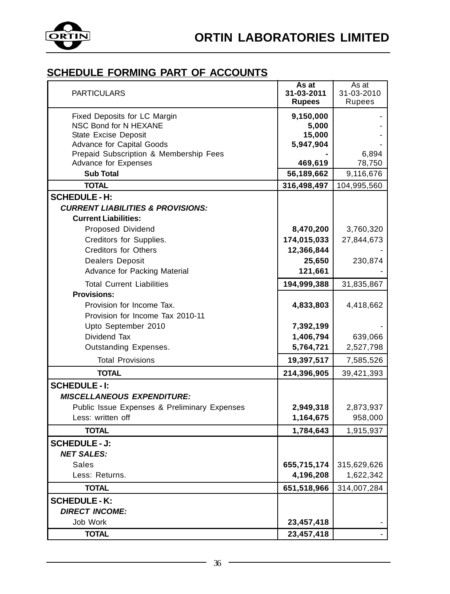

| <b>PARTICULARS</b>                           | As at<br>31-03-2011<br><b>Rupees</b> | As at<br>31-03-2010<br>Rupees |
|----------------------------------------------|--------------------------------------|-------------------------------|
| Fixed Deposits for LC Margin                 | 9,150,000                            |                               |
| NSC Bond for N HEXANE                        | 5,000                                |                               |
| State Excise Deposit                         | 15,000                               |                               |
| Advance for Capital Goods                    | 5,947,904                            |                               |
| Prepaid Subscription & Membership Fees       |                                      | 6,894                         |
| Advance for Expenses                         | 469,619                              | 78,750                        |
| <b>Sub Total</b>                             | 56,189,662                           | 9,116,676                     |
| <b>TOTAL</b>                                 | 316,498,497                          | 104,995,560                   |
| <b>SCHEDULE - H:</b>                         |                                      |                               |
| <b>CURRENT LIABILITIES &amp; PROVISIONS:</b> |                                      |                               |
| <b>Current Liabilities:</b>                  |                                      |                               |
| Proposed Dividend                            | 8,470,200                            | 3,760,320                     |
| Creditors for Supplies.                      | 174,015,033                          | 27,844,673                    |
| <b>Creditors for Others</b>                  | 12,366,844                           |                               |
| Dealers Deposit                              | 25,650                               | 230,874                       |
| Advance for Packing Material                 | 121,661                              |                               |
| <b>Total Current Liabilities</b>             | 194,999,388                          | 31,835,867                    |
| <b>Provisions:</b>                           |                                      |                               |
| Provision for Income Tax.                    | 4,833,803                            | 4,418,662                     |
| Provision for Income Tax 2010-11             |                                      |                               |
| Upto September 2010                          | 7,392,199                            |                               |
| Dividend Tax                                 | 1,406,794                            | 639,066                       |
| Outstanding Expenses.                        | 5,764,721                            | 2,527,798                     |
| <b>Total Provisions</b>                      | 19,397,517                           | 7,585,526                     |
| <b>TOTAL</b>                                 | 214,396,905                          | 39,421,393                    |
| <b>SCHEDULE - I:</b>                         |                                      |                               |
| <b>MISCELLANEOUS EXPENDITURE:</b>            |                                      |                               |
| Public Issue Expenses & Preliminary Expenses | 2,949,318                            | 2,873,937                     |
| Less: written off                            | 1,164,675                            | 958,000                       |
| <b>TOTAL</b>                                 | 1,784,643                            | 1,915,937                     |
| <b>SCHEDULE - J:</b>                         |                                      |                               |
| <b>NET SALES:</b>                            |                                      |                               |
| Sales                                        | 655,715,174                          | 315,629,626                   |
| Less: Returns.                               | 4,196,208                            | 1,622,342                     |
| <b>TOTAL</b>                                 | 651,518,966                          | 314,007,284                   |
| <b>SCHEDULE - K:</b>                         |                                      |                               |
| <b>DIRECT INCOME:</b>                        |                                      |                               |
| Job Work                                     | 23,457,418                           |                               |
| <b>TOTAL</b>                                 | 23,457,418                           |                               |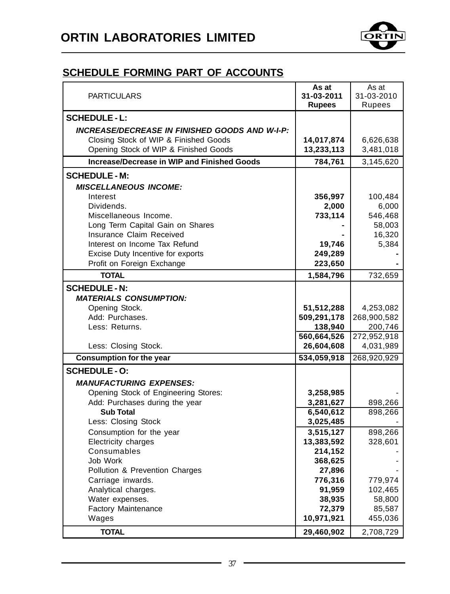

| <b>PARTICULARS</b>                                    | As at<br>31-03-2011<br><b>Rupees</b> | As at<br>31-03-2010<br>Rupees |
|-------------------------------------------------------|--------------------------------------|-------------------------------|
| <b>SCHEDULE - L:</b>                                  |                                      |                               |
| <b>INCREASE/DECREASE IN FINISHED GOODS AND W-I-P:</b> |                                      |                               |
| Closing Stock of WIP & Finished Goods                 | 14,017,874                           | 6,626,638                     |
| Opening Stock of WIP & Finished Goods                 | 13,233,113                           | 3,481,018                     |
| Increase/Decrease in WIP and Finished Goods           | 784,761                              | 3,145,620                     |
| <b>SCHEDULE - M:</b>                                  |                                      |                               |
| <b>MISCELLANEOUS INCOME:</b>                          |                                      |                               |
| Interest                                              | 356,997                              | 100,484                       |
| Dividends.                                            | 2,000                                | 6,000                         |
| Miscellaneous Income.                                 | 733,114                              | 546,468                       |
| Long Term Capital Gain on Shares                      |                                      | 58,003                        |
| Insurance Claim Received                              |                                      | 16,320                        |
| Interest on Income Tax Refund                         | 19,746                               | 5,384                         |
| Excise Duty Incentive for exports                     | 249,289                              |                               |
| Profit on Foreign Exchange                            | 223,650                              |                               |
| <b>TOTAL</b>                                          | 1,584,796                            | 732,659                       |
| <b>SCHEDULE - N:</b>                                  |                                      |                               |
| <b>MATERIALS CONSUMPTION:</b>                         |                                      |                               |
| Opening Stock.                                        | 51,512,288                           | 4,253,082                     |
| Add: Purchases.                                       | 509,291,178                          | 268,900,582                   |
| Less: Returns.                                        | 138,940                              | 200,746                       |
|                                                       | 560,664,526                          | 272,952,918                   |
| Less: Closing Stock.                                  | 26,604,608                           | 4,031,989                     |
| <b>Consumption for the year</b>                       | 534,059,918                          | 268,920,929                   |
| <b>SCHEDULE - O:</b>                                  |                                      |                               |
| <b>MANUFACTURING EXPENSES:</b>                        |                                      |                               |
| Opening Stock of Engineering Stores:                  | 3,258,985                            |                               |
| Add: Purchases during the year                        | 3,281,627                            | 898,266                       |
| <b>Sub Total</b>                                      | 6,540,612                            | 898,266                       |
| Less: Closing Stock                                   | 3,025,485                            |                               |
| Consumption for the year                              | 3,515,127                            | 898,266                       |
| Electricity charges<br>Consumables                    | 13,383,592<br>214,152                | 328,601                       |
| Job Work                                              | 368,625                              |                               |
| Pollution & Prevention Charges                        | 27,896                               |                               |
| Carriage inwards.                                     | 776,316                              | 779,974                       |
| Analytical charges.                                   | 91,959                               | 102,465                       |
| Water expenses.                                       | 38,935                               | 58,800                        |
| Factory Maintenance                                   | 72,379                               | 85,587                        |
| Wages                                                 | 10,971,921                           | 455,036                       |
| <b>TOTAL</b>                                          | 29,460,902                           | 2,708,729                     |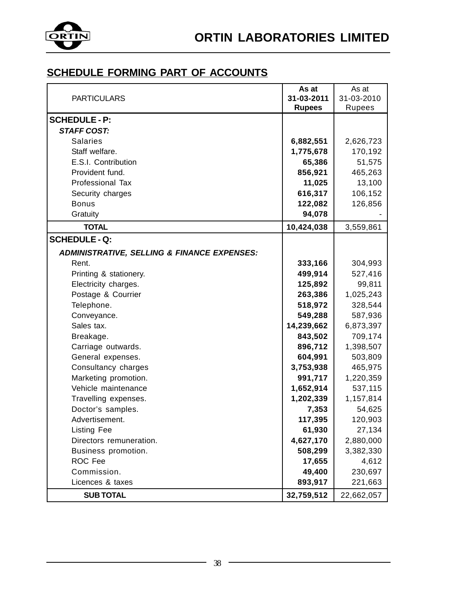

|                                                        | As at         | As at      |
|--------------------------------------------------------|---------------|------------|
| <b>PARTICULARS</b>                                     | 31-03-2011    | 31-03-2010 |
|                                                        | <b>Rupees</b> | Rupees     |
| <b>SCHEDULE - P:</b>                                   |               |            |
| <b>STAFF COST:</b>                                     |               |            |
| <b>Salaries</b>                                        | 6,882,551     | 2,626,723  |
| Staff welfare.                                         | 1,775,678     | 170,192    |
| E.S.I. Contribution                                    | 65,386        | 51,575     |
| Provident fund.                                        | 856,921       | 465,263    |
| <b>Professional Tax</b>                                | 11,025        | 13,100     |
| Security charges                                       | 616,317       | 106,152    |
| Bonus                                                  | 122,082       | 126,856    |
| Gratuity                                               | 94,078        |            |
| <b>TOTAL</b>                                           | 10,424,038    | 3,559,861  |
| <b>SCHEDULE - Q:</b>                                   |               |            |
| <b>ADMINISTRATIVE, SELLING &amp; FINANCE EXPENSES:</b> |               |            |
| Rent.                                                  | 333,166       | 304,993    |
| Printing & stationery.                                 | 499,914       | 527,416    |
| Electricity charges.                                   | 125,892       | 99,811     |
| Postage & Courrier                                     | 263,386       | 1,025,243  |
| Telephone.                                             | 518,972       | 328,544    |
| Conveyance.                                            | 549,288       | 587,936    |
| Sales tax.                                             | 14,239,662    | 6,873,397  |
| Breakage.                                              | 843,502       | 709,174    |
| Carriage outwards.                                     | 896,712       | 1,398,507  |
| General expenses.                                      | 604,991       | 503,809    |
| Consultancy charges                                    | 3,753,938     | 465,975    |
| Marketing promotion.                                   | 991,717       | 1,220,359  |
| Vehicle maintenance                                    | 1,652,914     | 537,115    |
| Travelling expenses.                                   | 1,202,339     | 1,157,814  |
| Doctor's samples.                                      | 7,353         | 54,625     |
| Advertisement.                                         | 117,395       | 120,903    |
| <b>Listing Fee</b>                                     | 61,930        | 27,134     |
| Directors remuneration.                                | 4,627,170     | 2,880,000  |
| Business promotion.                                    | 508,299       | 3,382,330  |
| ROC Fee                                                | 17,655        | 4,612      |
| Commission.                                            | 49,400        | 230,697    |
| Licences & taxes                                       | 893,917       | 221,663    |
| <b>SUB TOTAL</b>                                       | 32,759,512    | 22,662,057 |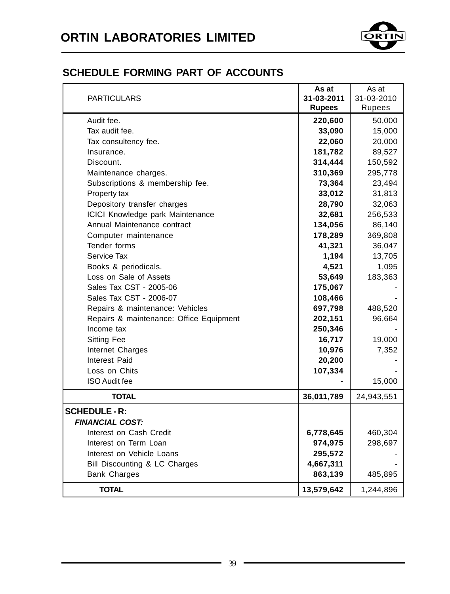

|                                         | As at         | As at      |
|-----------------------------------------|---------------|------------|
| <b>PARTICULARS</b>                      | 31-03-2011    | 31-03-2010 |
|                                         | <b>Rupees</b> | Rupees     |
| Audit fee.                              | 220,600       | 50,000     |
| Tax audit fee.                          | 33,090        | 15,000     |
| Tax consultency fee.                    | 22,060        | 20,000     |
| Insurance.                              | 181,782       | 89,527     |
| Discount.                               | 314,444       | 150,592    |
| Maintenance charges.                    | 310,369       | 295,778    |
| Subscriptions & membership fee.         | 73,364        | 23,494     |
| Property tax                            | 33,012        | 31,813     |
| Depository transfer charges             | 28,790        | 32,063     |
| ICICI Knowledge park Maintenance        | 32,681        | 256,533    |
| Annual Maintenance contract             | 134,056       | 86,140     |
| Computer maintenance                    | 178,289       | 369,808    |
| Tender forms                            | 41,321        | 36,047     |
| Service Tax                             | 1,194         | 13,705     |
| Books & periodicals.                    | 4,521         | 1,095      |
| Loss on Sale of Assets                  | 53,649        | 183,363    |
| Sales Tax CST - 2005-06                 | 175,067       |            |
| Sales Tax CST - 2006-07                 | 108,466       |            |
| Repairs & maintenance: Vehicles         | 697,798       | 488,520    |
| Repairs & maintenance: Office Equipment | 202,151       | 96,664     |
| Income tax                              | 250,346       |            |
| <b>Sitting Fee</b>                      | 16,717        | 19,000     |
| Internet Charges                        | 10,976        | 7,352      |
| Interest Paid                           | 20,200        |            |
| Loss on Chits                           | 107,334       |            |
| <b>ISO Audit fee</b>                    |               | 15,000     |
| TOTAL                                   | 36,011,789    | 24,943,551 |
| <b>SCHEDULE - R:</b>                    |               |            |
| <b>FINANCIAL COST:</b>                  |               |            |
| Interest on Cash Credit                 | 6,778,645     | 460,304    |
| Interest on Term Loan                   | 974,975       | 298,697    |
| Interest on Vehicle Loans               | 295,572       |            |
| Bill Discounting & LC Charges           | 4,667,311     |            |
| <b>Bank Charges</b>                     | 863,139       | 485,895    |
| <b>TOTAL</b>                            | 13,579,642    | 1,244,896  |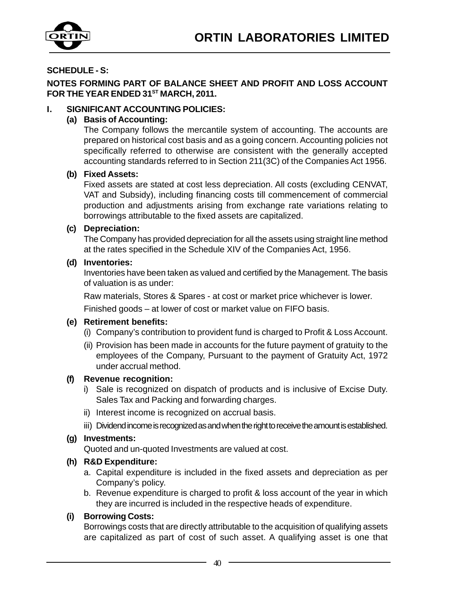

#### **SCHEDULE - S:**

**NOTES FORMING PART OF BALANCE SHEET AND PROFIT AND LOSS ACCOUNT** FOR THE YEAR ENDED 31<sup>ST</sup> MARCH, 2011.

#### **I. SIGNIFICANT ACCOUNTING POLICIES:**

#### **(a) Basis of Accounting:**

The Company follows the mercantile system of accounting. The accounts are prepared on historical cost basis and as a going concern. Accounting policies not specifically referred to otherwise are consistent with the generally accepted accounting standards referred to in Section 211(3C) of the Companies Act 1956.

#### **(b) Fixed Assets:**

Fixed assets are stated at cost less depreciation. All costs (excluding CENVAT, VAT and Subsidy), including financing costs till commencement of commercial production and adjustments arising from exchange rate variations relating to borrowings attributable to the fixed assets are capitalized.

#### **(c) Depreciation:**

The Company has provided depreciation for all the assets using straight line method at the rates specified in the Schedule XIV of the Companies Act, 1956.

#### **(d) Inventories:**

Inventories have been taken as valued and certified by the Management. The basis of valuation is as under:

Raw materials, Stores & Spares - at cost or market price whichever is lower.

Finished goods – at lower of cost or market value on FIFO basis.

#### **(e) Retirement benefits:**

- (i) Company's contribution to provident fund is charged to Profit & Loss Account.
- (ii) Provision has been made in accounts for the future payment of gratuity to the employees of the Company, Pursuant to the payment of Gratuity Act, 1972 under accrual method.

#### **(f) Revenue recognition:**

- i) Sale is recognized on dispatch of products and is inclusive of Excise Duty. Sales Tax and Packing and forwarding charges.
- ii) Interest income is recognized on accrual basis.
- iii) Dividend income is recognized as and when the right to receive the amount is established.

#### **(g) Investments:**

Quoted and un-quoted Investments are valued at cost.

#### **(h) R&D Expenditure:**

- a. Capital expenditure is included in the fixed assets and depreciation as per Company's policy.
- b. Revenue expenditure is charged to profit & loss account of the year in which they are incurred is included in the respective heads of expenditure.

#### **(i) Borrowing Costs:**

Borrowings costs that are directly attributable to the acquisition of qualifying assets are capitalized as part of cost of such asset. A qualifying asset is one that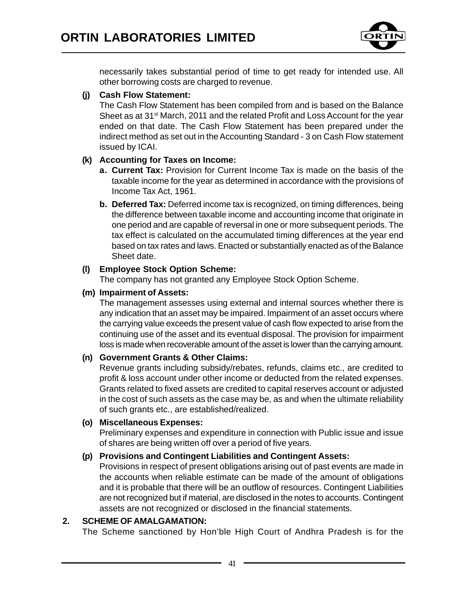

necessarily takes substantial period of time to get ready for intended use. All other borrowing costs are charged to revenue.

#### **(j) Cash Flow Statement:**

The Cash Flow Statement has been compiled from and is based on the Balance Sheet as at  $31<sup>st</sup>$  March, 2011 and the related Profit and Loss Account for the year ended on that date. The Cash Flow Statement has been prepared under the indirect method as set out in the Accounting Standard - 3 on Cash Flow statement issued by ICAI.

#### **(k) Accounting for Taxes on Income:**

- **a. Current Tax:** Provision for Current Income Tax is made on the basis of the taxable income for the year as determined in accordance with the provisions of Income Tax Act, 1961.
- **b. Deferred Tax:** Deferred income tax is recognized, on timing differences, being the difference between taxable income and accounting income that originate in one period and are capable of reversal in one or more subsequent periods. The tax effect is calculated on the accumulated timing differences at the year end based on tax rates and laws. Enacted or substantially enacted as of the Balance Sheet date.

#### **(l) Employee Stock Option Scheme:**

The company has not granted any Employee Stock Option Scheme.

#### **(m) Impairment of Assets:**

The management assesses using external and internal sources whether there is any indication that an asset may be impaired. Impairment of an asset occurs where the carrying value exceeds the present value of cash flow expected to arise from the continuing use of the asset and its eventual disposal. The provision for impairment loss is made when recoverable amount of the asset is lower than the carrying amount.

#### **(n) Government Grants & Other Claims:**

Revenue grants including subsidy/rebates, refunds, claims etc., are credited to profit & loss account under other income or deducted from the related expenses. Grants related to fixed assets are credited to capital reserves account or adjusted in the cost of such assets as the case may be, as and when the ultimate reliability of such grants etc., are established/realized.

#### **(o) Miscellaneous Expenses:**

Preliminary expenses and expenditure in connection with Public issue and issue of shares are being written off over a period of five years.

#### **(p) Provisions and Contingent Liabilities and Contingent Assets:**

Provisions in respect of present obligations arising out of past events are made in the accounts when reliable estimate can be made of the amount of obligations and it is probable that there will be an outflow of resources. Contingent Liabilities are not recognized but if material, are disclosed in the notes to accounts. Contingent assets are not recognized or disclosed in the financial statements.

#### **2. SCHEME OF AMALGAMATION:**

The Scheme sanctioned by Hon'ble High Court of Andhra Pradesh is for the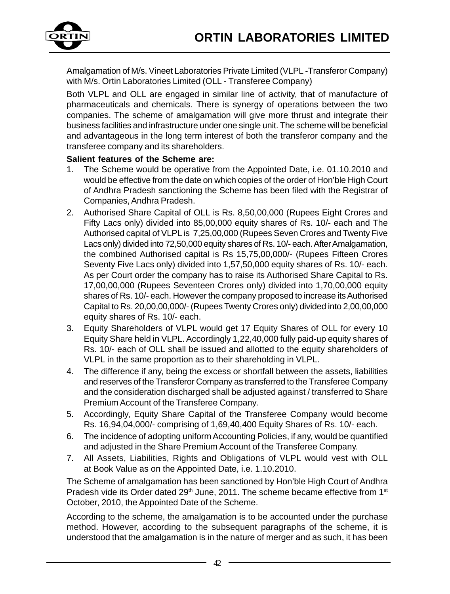

Amalgamation of M/s. Vineet Laboratories Private Limited (VLPL -Transferor Company) with M/s. Ortin Laboratories Limited (OLL - Transferee Company)

Both VLPL and OLL are engaged in similar line of activity, that of manufacture of pharmaceuticals and chemicals. There is synergy of operations between the two companies. The scheme of amalgamation will give more thrust and integrate their business facilities and infrastructure under one single unit. The scheme will be beneficial and advantageous in the long term interest of both the transferor company and the transferee company and its shareholders.

#### **Salient features of the Scheme are:**

- 1. The Scheme would be operative from the Appointed Date, i.e. 01.10.2010 and would be effective from the date on which copies of the order of Hon'ble High Court of Andhra Pradesh sanctioning the Scheme has been filed with the Registrar of Companies, Andhra Pradesh.
- 2. Authorised Share Capital of OLL is Rs. 8,50,00,000 (Rupees Eight Crores and Fifty Lacs only) divided into 85,00,000 equity shares of Rs. 10/- each and The Authorised capital of VLPL is 7,25,00,000 (Rupees Seven Crores and Twenty Five Lacs only) divided into 72,50,000 equity shares of Rs. 10/- each. After Amalgamation, the combined Authorised capital is Rs 15,75,00,000/- (Rupees Fifteen Crores Seventy Five Lacs only) divided into 1,57,50,000 equity shares of Rs. 10/- each. As per Court order the company has to raise its Authorised Share Capital to Rs. 17,00,00,000 (Rupees Seventeen Crores only) divided into 1,70,00,000 equity shares of Rs. 10/- each. However the company proposed to increase its Authorised Capital to Rs. 20,00,00,000/- (Rupees Twenty Crores only) divided into 2,00,00,000 equity shares of Rs. 10/- each.
- 3. Equity Shareholders of VLPL would get 17 Equity Shares of OLL for every 10 Equity Share held in VLPL. Accordingly 1,22,40,000 fully paid-up equity shares of Rs. 10/- each of OLL shall be issued and allotted to the equity shareholders of VLPL in the same proportion as to their shareholding in VLPL.
- 4. The difference if any, being the excess or shortfall between the assets, liabilities and reserves of the Transferor Company as transferred to the Transferee Company and the consideration discharged shall be adjusted against / transferred to Share Premium Account of the Transferee Company.
- 5. Accordingly, Equity Share Capital of the Transferee Company would become Rs. 16,94,04,000/- comprising of 1,69,40,400 Equity Shares of Rs. 10/- each.
- 6. The incidence of adopting uniform Accounting Policies, if any, would be quantified and adjusted in the Share Premium Account of the Transferee Company.
- 7. All Assets, Liabilities, Rights and Obligations of VLPL would vest with OLL at Book Value as on the Appointed Date, i.e. 1.10.2010.

The Scheme of amalgamation has been sanctioned by Hon'ble High Court of Andhra Pradesh vide its Order dated  $29<sup>th</sup>$  June, 2011. The scheme became effective from 1st October, 2010, the Appointed Date of the Scheme.

According to the scheme, the amalgamation is to be accounted under the purchase method. However, according to the subsequent paragraphs of the scheme, it is understood that the amalgamation is in the nature of merger and as such, it has been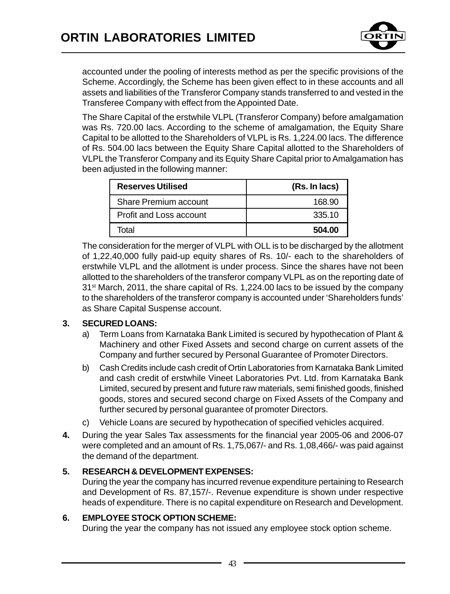

accounted under the pooling of interests method as per the specific provisions of the Scheme. Accordingly, the Scheme has been given effect to in these accounts and all assets and liabilities of the Transferor Company stands transferred to and vested in the Transferee Company with effect from the Appointed Date.

The Share Capital of the erstwhile VLPL (Transferor Company) before amalgamation was Rs. 720.00 lacs. According to the scheme of amalgamation, the Equity Share Capital to be allotted to the Shareholders of VLPL is Rs. 1,224.00 lacs. The difference of Rs. 504.00 lacs between the Equity Share Capital allotted to the Shareholders of VLPL the Transferor Company and its Equity Share Capital prior to Amalgamation has been adjusted in the following manner:

| <b>Reserves Utilised</b>     | (Rs. In lacs) |
|------------------------------|---------------|
| <b>Share Premium account</b> | 168.90        |
| Profit and Loss account      | 335.10        |
| Total                        | 504.00        |

The consideration for the merger of VLPL with OLL is to be discharged by the allotment of 1,22,40,000 fully paid-up equity shares of Rs. 10/- each to the shareholders of erstwhile VLPL and the allotment is under process. Since the shares have not been allotted to the shareholders of the transferor company VLPL as on the reporting date of  $31<sup>st</sup> March, 2011,$  the share capital of Rs. 1,224.00 lacs to be issued by the company to the shareholders of the transferor company is accounted under 'Shareholders funds' as Share Capital Suspense account.

#### **3. SECURED LOANS:**

- a) Term Loans from Karnataka Bank Limited is secured by hypothecation of Plant & Machinery and other Fixed Assets and second charge on current assets of the Company and further secured by Personal Guarantee of Promoter Directors.
- b) Cash Credits include cash credit of Ortin Laboratories from Karnataka Bank Limited and cash credit of erstwhile Vineet Laboratories Pvt. Ltd. from Karnataka Bank Limited, secured by present and future raw materials, semi finished goods, finished goods, stores and secured second charge on Fixed Assets of the Company and further secured by personal guarantee of promoter Directors.
- c) Vehicle Loans are secured by hypothecation of specified vehicles acquired.
- **4.** During the year Sales Tax assessments for the financial year 2005-06 and 2006-07 were completed and an amount of Rs. 1,75,067/- and Rs. 1,08,466/- was paid against the demand of the department.

#### **5. RESEARCH & DEVELOPMENT EXPENSES:**

During the year the company has incurred revenue expenditure pertaining to Research and Development of Rs. 87,157/-. Revenue expenditure is shown under respective heads of expenditure. There is no capital expenditure on Research and Development.

#### **6. EMPLOYEE STOCK OPTION SCHEME:**

During the year the company has not issued any employee stock option scheme.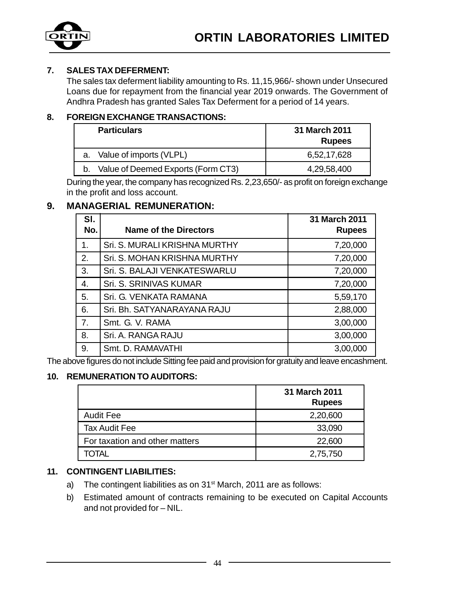

#### **7. SALES TAX DEFERMENT:**

The sales tax deferment liability amounting to Rs. 11,15,966/- shown under Unsecured Loans due for repayment from the financial year 2019 onwards. The Government of Andhra Pradesh has granted Sales Tax Deferment for a period of 14 years.

#### **8. FOREIGN EXCHANGE TRANSACTIONS:**

| <b>Particulars</b>                 | 31 March 2011<br><b>Rupees</b> |
|------------------------------------|--------------------------------|
| a. Value of imports (VLPL)         | 6,52,17,628                    |
| Value of Deemed Exports (Form CT3) | 4.29.58.400                    |

During the year, the company has recognized Rs. 2,23,650/- as profit on foreign exchange in the profit and loss account.

#### **9. MANAGERIAL REMUNERATION:**

| SI.<br>No. | Name of the Directors         | 31 March 2011<br><b>Rupees</b> |
|------------|-------------------------------|--------------------------------|
| 1.         | Sri. S. MURALI KRISHNA MURTHY | 7,20,000                       |
| 2.         | Sri. S. MOHAN KRISHNA MURTHY  | 7,20,000                       |
| 3.         | Sri. S. BALAJI VENKATESWARLU  | 7,20,000                       |
| 4.         | Sri. S. SRINIVAS KUMAR        | 7,20,000                       |
| 5.         | Sri. G. VENKATA RAMANA        | 5,59,170                       |
| 6.         | Sri. Bh. SATYANARAYANA RAJU   | 2,88,000                       |
| 7.         | Smt. G. V. RAMA               | 3,00,000                       |
| 8.         | Sri. A. RANGA RAJU            | 3,00,000                       |
| 9.         | Smt. D. RAMAVATHI             | 3,00,000                       |

The above figures do not include Sitting fee paid and provision for gratuity and leave encashment.

#### **10. REMUNERATION TO AUDITORS:**

|                                | 31 March 2011<br><b>Rupees</b> |
|--------------------------------|--------------------------------|
| <b>Audit Fee</b>               | 2,20,600                       |
| Tax Audit Fee                  | 33,090                         |
| For taxation and other matters | 22,600                         |
| )TAI                           | 2,75,750                       |

#### **11. CONTINGENT LIABILITIES:**

- a) The contingent liabilities as on  $31<sup>st</sup>$  March, 2011 are as follows:
- b) Estimated amount of contracts remaining to be executed on Capital Accounts and not provided for – NIL.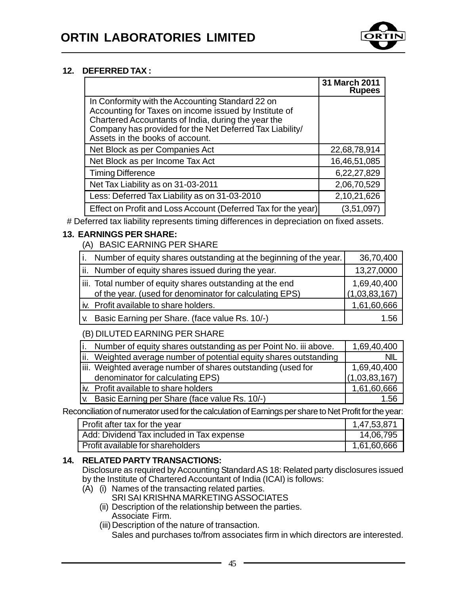

#### **12. DEFERRED TAX :**

|                                                                                                                                                                                                                                                                 | 31 March 2011<br><b>Rupees</b> |
|-----------------------------------------------------------------------------------------------------------------------------------------------------------------------------------------------------------------------------------------------------------------|--------------------------------|
| In Conformity with the Accounting Standard 22 on<br>Accounting for Taxes on income issued by Institute of<br>Chartered Accountants of India, during the year the<br>Company has provided for the Net Deferred Tax Liability/<br>Assets in the books of account. |                                |
| Net Block as per Companies Act                                                                                                                                                                                                                                  | 22,68,78,914                   |
| Net Block as per Income Tax Act                                                                                                                                                                                                                                 | 16,46,51,085                   |
| <b>Timing Difference</b>                                                                                                                                                                                                                                        | 6,22,27,829                    |
| Net Tax Liability as on 31-03-2011                                                                                                                                                                                                                              | 2,06,70,529                    |
| Less: Deferred Tax Liability as on 31-03-2010                                                                                                                                                                                                                   | 2,10,21,626                    |
| Effect on Profit and Loss Account (Deferred Tax for the year)                                                                                                                                                                                                   | (3,51,097)                     |

# Deferred tax liability represents timing differences in depreciation on fixed assets.

#### **13. EARNINGS PER SHARE:**

(A) BASIC EARNING PER SHARE

| Τ. | Number of equity shares outstanding at the beginning of the year.                                                    | 36,70,400                    |
|----|----------------------------------------------------------------------------------------------------------------------|------------------------------|
|    | ii. Number of equity shares issued during the year.                                                                  | 13,27,0000                   |
|    | iii. Total number of equity shares outstanding at the end<br>of the year. (used for denominator for calculating EPS) | 1,69,40,400<br>(1,03,83,167) |
|    | iv. Profit available to share holders.                                                                               | 1,61,60,666                  |
|    | v. Basic Earning per Share. (face value Rs. 10/-)                                                                    | 1.56                         |

(B) DILUTED EARNING PER SHARE

| Number of equity shares outstanding as per Point No. iii above.    | 1,69,40,400   |
|--------------------------------------------------------------------|---------------|
| ii. Weighted average number of potential equity shares outstanding | <b>NIL</b>    |
| liii. Weighted average number of shares outstanding (used for      | 1,69,40,400   |
| denominator for calculating EPS)                                   | (1,03,83,167) |
| Iv. Profit available to share holders                              | 1,61,60,666   |
| [v. Basic Earning per Share (face value Rs. 10/-)                  | 1.56          |

Reconciliation of numerator used for the calculation of Earnings per share to Net Profit for the year:

| Profit after tax for the year             | 1,47,53,871 |
|-------------------------------------------|-------------|
| Add: Dividend Tax included in Tax expense | 14,06,795   |
| Profit available for shareholders         | 1,61,60,666 |

#### **14. RELATED PARTY TRANSACTIONS:**

Disclosure as required by Accounting Standard AS 18: Related party disclosures issued by the Institute of Chartered Accountant of India (ICAI) is follows:

- (A) (i) Names of the transacting related parties.
	- SRI SAI KRISHNA MARKETING ASSOCIATES
	- (ii) Description of the relationship between the parties. Associate Firm.
	- (iii) Description of the nature of transaction.

Sales and purchases to/from associates firm in which directors are interested.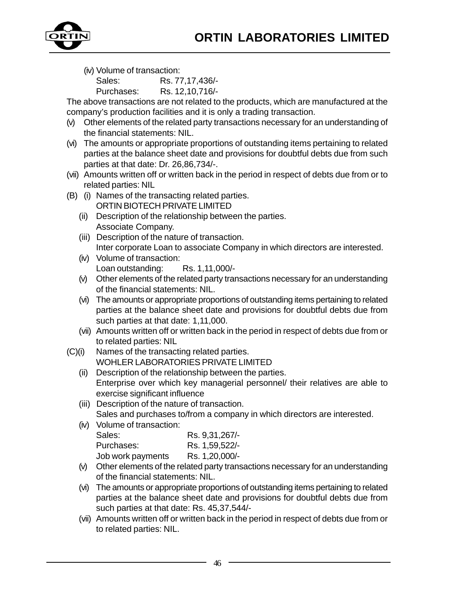

(iv) Volume of transaction:

Sales: Rs. 77,17,436/- Purchases: Rs. 12,10,716/-

The above transactions are not related to the products, which are manufactured at the company's production facilities and it is only a trading transaction.

- (v) Other elements of the related party transactions necessary for an understanding of the financial statements: NIL.
- (vi) The amounts or appropriate proportions of outstanding items pertaining to related parties at the balance sheet date and provisions for doubtful debts due from such parties at that date: Dr. 26,86,734/-.
- (vii) Amounts written off or written back in the period in respect of debts due from or to related parties: NIL
- (B) (i) Names of the transacting related parties. ORTIN BIOTECH PRIVATE LIMITED
	- (ii) Description of the relationship between the parties. Associate Company.
	- (iii) Description of the nature of transaction. Inter corporate Loan to associate Company in which directors are interested.
	- (iv) Volume of transaction: Loan outstanding: Rs. 1,11,000/-
	- (v) Other elements of the related party transactions necessary for an understanding of the financial statements: NIL.
	- (vi) The amounts or appropriate proportions of outstanding items pertaining to related parties at the balance sheet date and provisions for doubtful debts due from such parties at that date: 1,11,000.
	- (vii) Amounts written off or written back in the period in respect of debts due from or to related parties: NIL
- (C)(i) Names of the transacting related parties. WOHLER LABORATORIES PRIVATE LIMITED
	- (ii) Description of the relationship between the parties. Enterprise over which key managerial personnel/ their relatives are able to exercise significant influence
	- (iii) Description of the nature of transaction. Sales and purchases to/from a company in which directors are interested.
	- (iv) Volume of transaction: Sales: Rs. 9,31,267/- Purchases: Rs. 1,59,522/- Job work payments Rs. 1,20,000/-
	- (v) Other elements of the related party transactions necessary for an understanding of the financial statements: NIL.
	- (vi) The amounts or appropriate proportions of outstanding items pertaining to related parties at the balance sheet date and provisions for doubtful debts due from such parties at that date: Rs. 45,37,544/-
	- (vii) Amounts written off or written back in the period in respect of debts due from or to related parties: NIL.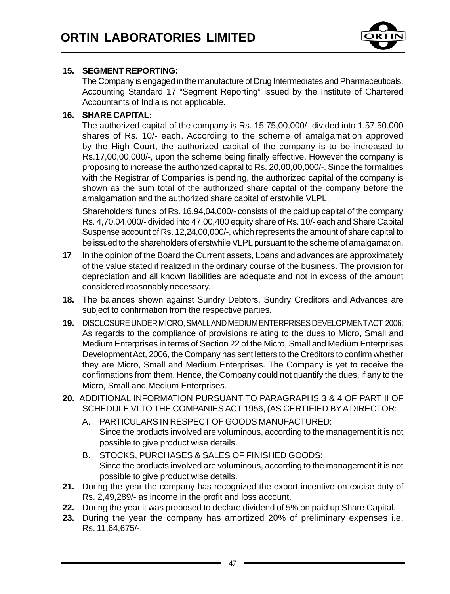

#### **15. SEGMENT REPORTING:**

The Company is engaged in the manufacture of Drug Intermediates and Pharmaceuticals. Accounting Standard 17 "Segment Reporting" issued by the Institute of Chartered Accountants of India is not applicable.

#### **16. SHARE CAPITAL:**

The authorized capital of the company is Rs. 15,75,00,000/- divided into 1,57,50,000 shares of Rs. 10/- each. According to the scheme of amalgamation approved by the High Court, the authorized capital of the company is to be increased to Rs.17,00,00,000/-, upon the scheme being finally effective. However the company is proposing to increase the authorized capital to Rs. 20,00,00,000/-. Since the formalities with the Registrar of Companies is pending, the authorized capital of the company is shown as the sum total of the authorized share capital of the company before the amalgamation and the authorized share capital of erstwhile VLPL.

Shareholders' funds of Rs. 16,94,04,000/- consists of the paid up capital of the company Rs. 4,70,04,000/- divided into 47,00,400 equity share of Rs. 10/- each and Share Capital Suspense account of Rs. 12,24,00,000/-, which represents the amount of share capital to be issued to the shareholders of erstwhile VLPL pursuant to the scheme of amalgamation.

- **17** In the opinion of the Board the Current assets, Loans and advances are approximately of the value stated if realized in the ordinary course of the business. The provision for depreciation and all known liabilities are adequate and not in excess of the amount considered reasonably necessary.
- **18.** The balances shown against Sundry Debtors, Sundry Creditors and Advances are subject to confirmation from the respective parties.
- **19.** DISCLOSURE UNDER MICRO, SMALL AND MEDIUM ENTERPRISES DEVELOPMENT ACT, 2006: As regards to the compliance of provisions relating to the dues to Micro, Small and Medium Enterprises in terms of Section 22 of the Micro, Small and Medium Enterprises Development Act, 2006, the Company has sent letters to the Creditors to confirm whether they are Micro, Small and Medium Enterprises. The Company is yet to receive the confirmations from them. Hence, the Company could not quantify the dues, if any to the Micro, Small and Medium Enterprises.
- **20.** ADDITIONAL INFORMATION PURSUANT TO PARAGRAPHS 3 & 4 OF PART II OF SCHEDULE VI TO THE COMPANIES ACT 1956, (AS CERTIFIED BY A DIRECTOR:
	- A. PARTICULARS IN RESPECT OF GOODS MANUFACTURED: Since the products involved are voluminous, according to the management it is not possible to give product wise details.
	- B. STOCKS, PURCHASES & SALES OF FINISHED GOODS: Since the products involved are voluminous, according to the management it is not possible to give product wise details.
- **21.** During the year the company has recognized the export incentive on excise duty of Rs. 2,49,289/- as income in the profit and loss account.
- **22.** During the year it was proposed to declare dividend of 5% on paid up Share Capital.
- **23.** During the year the company has amortized 20% of preliminary expenses i.e. Rs. 11,64,675/-.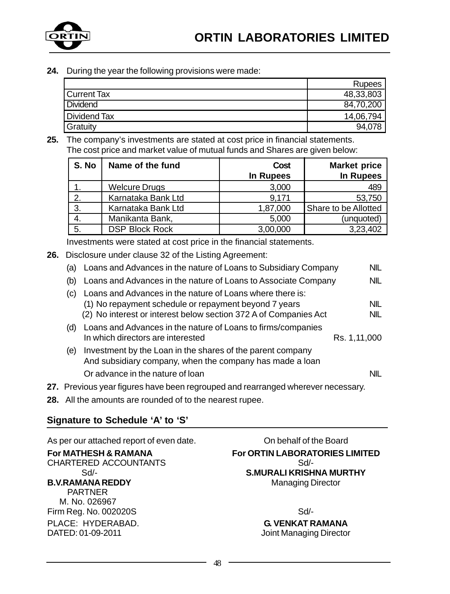

**24.** During the year the following provisions were made:

|               | <b>Rupees</b> |
|---------------|---------------|
| l Current Tax | 48,33,803     |
| Dividend      | 84,70,200     |
| Dividend Tax  | 14,06,794     |
| Gratuity      | 94.078        |

**25.** The company's investments are stated at cost price in financial statements. The cost price and market value of mutual funds and Shares are given below:

| S. No | Name of the fund      | Cost      | <b>Market price</b>  |
|-------|-----------------------|-----------|----------------------|
|       |                       | In Rupees | <b>In Rupees</b>     |
|       | <b>Welcure Drugs</b>  | 3,000     | 489                  |
| 2.    | Karnataka Bank Ltd    | 9.171     | 53,750               |
| 3.    | Karnataka Bank Ltd    | 1,87,000  | Share to be Allotted |
|       | Manikanta Bank,       | 5,000     | (unquoted)           |
| -5.   | <b>DSP Block Rock</b> | 3,00,000  | 3,23,402             |

Investments were stated at cost price in the financial statements.

**26.** Disclosure under clause 32 of the Listing Agreement:

| (a) | Loans and Advances in the nature of Loans to Subsidiary Company                                                                                                                        | NIL          |
|-----|----------------------------------------------------------------------------------------------------------------------------------------------------------------------------------------|--------------|
| (b) | Loans and Advances in the nature of Loans to Associate Company                                                                                                                         | NIL          |
| (C) | Loans and Advances in the nature of Loans where there is:<br>(1) No repayment schedule or repayment beyond 7 years<br>(2) No interest or interest below section 372 A of Companies Act | NIL<br>NIL   |
| (d) | Loans and Advances in the nature of Loans to firms/companies<br>In which directors are interested                                                                                      | Rs. 1,11,000 |
| (e) | Investment by the Loan in the shares of the parent company<br>And subsidiary company, when the company has made a loan                                                                 |              |
|     | Or advance in the nature of loan                                                                                                                                                       | NIL          |
|     | 27. Previous year figures have been regrouped and rearranged wherever necessary.                                                                                                       |              |
|     |                                                                                                                                                                                        |              |

**28.** All the amounts are rounded of to the nearest rupee.

#### **Signature to Schedule 'A' to 'S'**

As per our attached report of even date. Con behalf of the Board CHARTERED ACCOUNTANTS **B.V.RAMANA REDDY** Managing Director PARTNER M. No. 026967 Firm Reg. No. 002020S Sd/-PLACE: HYDERABAD. **G. VENKAT RAMANA**<br>DATED: 01-09-2011 **G. VENKAT RAMANA** 

**For MATHESH & RAMANA For ORTIN LABORATORIES LIMITED**<br>CHARTERED ACCOUNTANTS Sd/- **S.MURALI KRISHNA MURTHY**

Joint Managing Director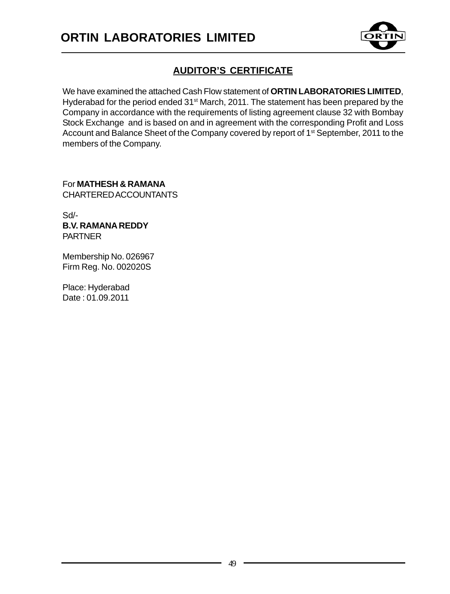

### **AUDITOR'S CERTIFICATE**

We have examined the attached Cash Flow statement of **ORTIN LABORATORIES LIMITED**, Hyderabad for the period ended 31<sup>st</sup> March, 2011. The statement has been prepared by the Company in accordance with the requirements of listing agreement clause 32 with Bombay Stock Exchange and is based on and in agreement with the corresponding Profit and Loss Account and Balance Sheet of the Company covered by report of 1<sup>st</sup> September, 2011 to the members of the Company.

For **MATHESH & RAMANA** CHARTERED ACCOUNTANTS

Sd/- **B.V. RAMANA REDDY** PARTNER

Membership No. 026967 Firm Reg. No. 002020S

Place: Hyderabad Date : 01.09.2011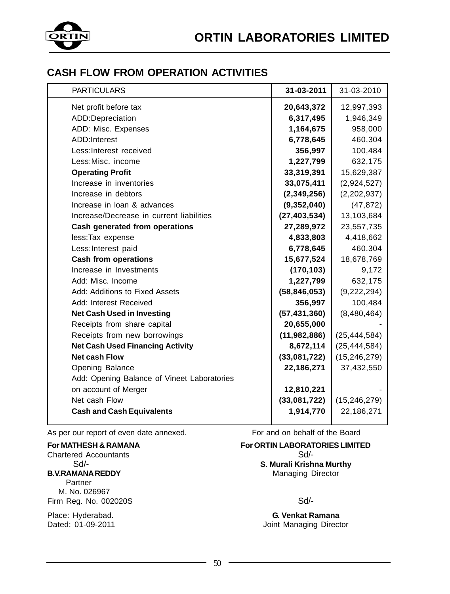

### **CASH FLOW FROM OPERATION ACTIVITIES**

| <b>PARTICULARS</b>                          | 31-03-2011     | 31-03-2010     |
|---------------------------------------------|----------------|----------------|
| Net profit before tax                       | 20,643,372     | 12,997,393     |
| ADD:Depreciation                            | 6,317,495      | 1,946,349      |
| ADD: Misc. Expenses                         | 1,164,675      | 958,000        |
| ADD:Interest                                | 6,778,645      | 460,304        |
| Less: Interest received                     | 356,997        | 100,484        |
| Less: Misc. income                          | 1,227,799      | 632,175        |
| <b>Operating Profit</b>                     | 33,319,391     | 15,629,387     |
| Increase in inventories                     | 33,075,411     | (2,924,527)    |
| Increase in debtors                         | (2,349,256)    | (2,202,937)    |
| Increase in loan & advances                 | (9,352,040)    | (47, 872)      |
| Increase/Decrease in current liabilities    | (27, 403, 534) | 13,103,684     |
| Cash generated from operations              | 27,289,972     | 23,557,735     |
| less:Tax expense                            | 4,833,803      | 4,418,662      |
| Less: Interest paid                         | 6,778,645      | 460,304        |
| <b>Cash from operations</b>                 | 15,677,524     | 18,678,769     |
| Increase in Investments                     | (170, 103)     | 9,172          |
| Add: Misc. Income                           | 1,227,799      | 632,175        |
| Add: Additions to Fixed Assets              | (58, 846, 053) | (9,222,294)    |
| Add: Interest Received                      | 356,997        | 100,484        |
| <b>Net Cash Used in Investing</b>           | (57, 431, 360) | (8,480,464)    |
| Receipts from share capital                 | 20,655,000     |                |
| Receipts from new borrowings                | (11, 982, 886) | (25, 444, 584) |
| <b>Net Cash Used Financing Activity</b>     | 8,672,114      | (25, 444, 584) |
| <b>Net cash Flow</b>                        | (33,081,722)   | (15, 246, 279) |
| Opening Balance                             | 22,186,271     | 37,432,550     |
| Add: Opening Balance of Vineet Laboratories |                |                |
| on account of Merger                        | 12,810,221     |                |
| Net cash Flow                               | (33,081,722)   | (15, 246, 279) |
| <b>Cash and Cash Equivalents</b>            | 1,914,770      | 22,186,271     |
|                                             |                |                |

As per our report of even date annexed. For and on behalf of the Board

Chartered Accountants Sd/-

 Partner M. No. 026967 Firm Reg. No. 002020S Sd/-

## **For MATHESH & RAMANA For ORTIN LABORATORIES LIMITED**<br>Chartered Accountants **For ORTIN LABORATORIES LIMITED**

Sd<sup>/</sup>-<br>**B. V.RAMANA REDDY S. Murali Krishna Murthy**<br>Managing Director **Managing Director** 

Place: Hyderabad. **G. Venkat Ramana** Joint Managing Director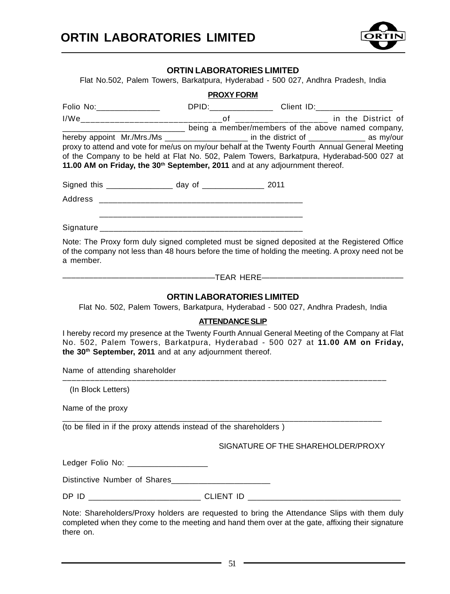

#### **ORTIN LABORATORIES LIMITED**

Flat No.502, Palem Towers, Barkatpura, Hyderabad - 500 027, Andhra Pradesh, India

|                                                                                                                                                                                                                                                         | <b>PROXY FORM</b>                                               |  |
|---------------------------------------------------------------------------------------------------------------------------------------------------------------------------------------------------------------------------------------------------------|-----------------------------------------------------------------|--|
|                                                                                                                                                                                                                                                         |                                                                 |  |
|                                                                                                                                                                                                                                                         |                                                                 |  |
| hereby appoint Mr./Mrs./Ms _____________________ in the district of ____________ as my/our                                                                                                                                                              | ____________ being a member/members of the above named company, |  |
| proxy to attend and vote for me/us on my/our behalf at the Twenty Fourth Annual General Meeting                                                                                                                                                         |                                                                 |  |
| of the Company to be held at Flat No. 502, Palem Towers, Barkatpura, Hyderabad-500 027 at                                                                                                                                                               |                                                                 |  |
| 11.00 AM on Friday, the 30 <sup>th</sup> September, 2011 and at any adjournment thereof.                                                                                                                                                                |                                                                 |  |
| Signed this ___________________ day of __________________ 2011                                                                                                                                                                                          |                                                                 |  |
|                                                                                                                                                                                                                                                         |                                                                 |  |
|                                                                                                                                                                                                                                                         |                                                                 |  |
|                                                                                                                                                                                                                                                         |                                                                 |  |
| Note: The Proxy form duly signed completed must be signed deposited at the Registered Office<br>of the company not less than 48 hours before the time of holding the meeting. A proxy need not be<br>a member.                                          |                                                                 |  |
|                                                                                                                                                                                                                                                         |                                                                 |  |
|                                                                                                                                                                                                                                                         | <b>ORTIN LABORATORIES LIMITED</b>                               |  |
| Flat No. 502, Palem Towers, Barkatpura, Hyderabad - 500 027, Andhra Pradesh, India                                                                                                                                                                      |                                                                 |  |
|                                                                                                                                                                                                                                                         | <b>ATTENDANCE SLIP</b>                                          |  |
| I hereby record my presence at the Twenty Fourth Annual General Meeting of the Company at Flat<br>No. 502, Palem Towers, Barkatpura, Hyderabad - 500 027 at 11.00 AM on Friday,<br>the 30 <sup>th</sup> September, 2011 and at any adjournment thereof. |                                                                 |  |
| Name of attending shareholder                                                                                                                                                                                                                           |                                                                 |  |
| (In Block Letters)                                                                                                                                                                                                                                      |                                                                 |  |
| Name of the proxy                                                                                                                                                                                                                                       |                                                                 |  |
| (to be filed in if the proxy attends instead of the shareholders)                                                                                                                                                                                       |                                                                 |  |
|                                                                                                                                                                                                                                                         | SIGNATURE OF THE SHAREHOLDER/PROXY                              |  |
| Ledger Folio No: __________________                                                                                                                                                                                                                     |                                                                 |  |
| Distinctive Number of Shares                                                                                                                                                                                                                            |                                                                 |  |
| DP ID _________________________________CLIENT ID _______________________________                                                                                                                                                                        |                                                                 |  |
| Note: Shareholders/Proxy holders are requested to bring the Attendance Slips with them duly<br>completed when they come to the meeting and hand them over at the gate, affixing their signature                                                         |                                                                 |  |

there on.